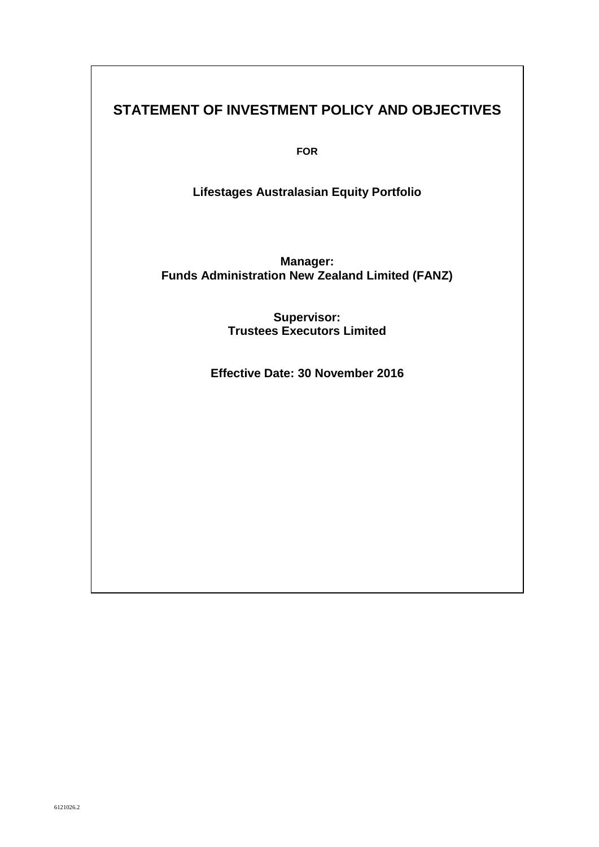# **STATEMENT OF INVESTMENT POLICY AND OBJECTIVES**

**FOR**

**Lifestages Australasian Equity Portfolio**

**Manager: Funds Administration New Zealand Limited (FANZ)**

> **Supervisor: Trustees Executors Limited**

**Effective Date: 30 November 2016**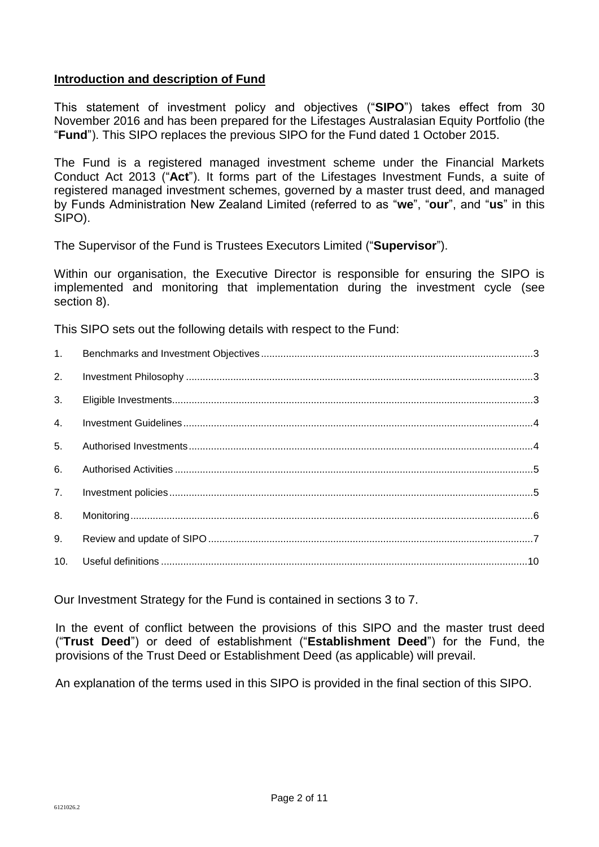## **Introduction and description of Fund**

This statement of investment policy and objectives ("**SIPO**") takes effect from 30 November 2016 and has been prepared for the Lifestages Australasian Equity Portfolio (the "**Fund**"). This SIPO replaces the previous SIPO for the Fund dated 1 October 2015.

The Fund is a registered managed investment scheme under the Financial Markets Conduct Act 2013 ("**Act**"). It forms part of the Lifestages Investment Funds, a suite of registered managed investment schemes, governed by a master trust deed, and managed by Funds Administration New Zealand Limited (referred to as "**we**", "**our**", and "**us**" in this SIPO).

The Supervisor of the Fund is Trustees Executors Limited ("**Supervisor**").

Within our organisation, the Executive Director is responsible for ensuring the SIPO is implemented and monitoring that implementation during the investment cycle (see section 8).

This SIPO sets out the following details with respect to the Fund:

| 1.  |  |
|-----|--|
| 2.  |  |
| 3.  |  |
| 4.  |  |
| 5.  |  |
| 6.  |  |
| 7.  |  |
| 8.  |  |
| 9.  |  |
| 10. |  |

Our Investment Strategy for the Fund is contained in sections 3 to 7.

In the event of conflict between the provisions of this SIPO and the master trust deed ("**Trust Deed**") or deed of establishment ("**Establishment Deed**") for the Fund, the provisions of the Trust Deed or Establishment Deed (as applicable) will prevail.

An explanation of the terms used in this SIPO is provided in the final section of this SIPO.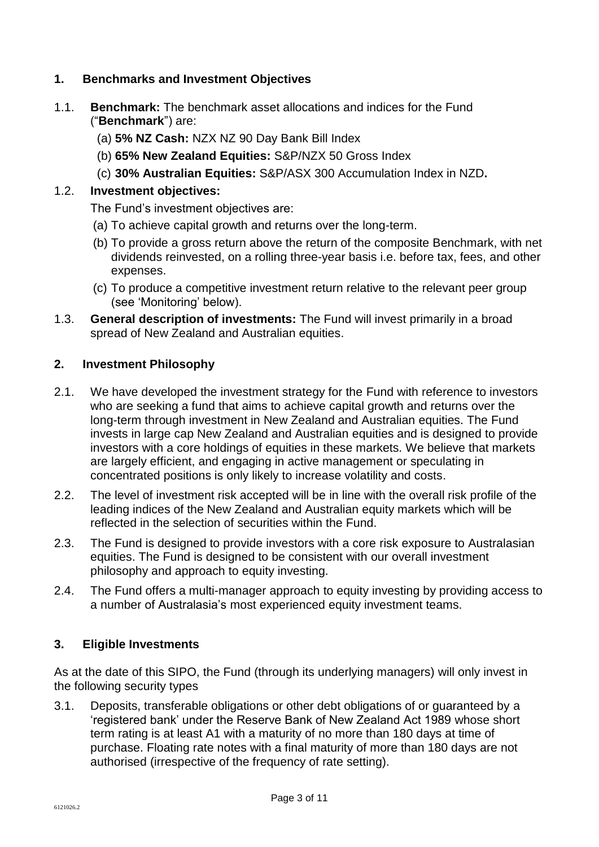## **1. Benchmarks and Investment Objectives**

- 1.1. **Benchmark:** The benchmark asset allocations and indices for the Fund ("**Benchmark**") are:
	- (a) **5% NZ Cash:** NZX NZ 90 Day Bank Bill Index
	- (b) **65% New Zealand Equities:** S&P/NZX 50 Gross Index
	- (c) **30% Australian Equities:** S&P/ASX 300 Accumulation Index in NZD**.**

# 1.2. **Investment objectives:**

The Fund's investment objectives are:

- (a) To achieve capital growth and returns over the long-term.
- (b) To provide a gross return above the return of the composite Benchmark, with net dividends reinvested, on a rolling three-year basis i.e. before tax, fees, and other expenses.
- (c) To produce a competitive investment return relative to the relevant peer group (see 'Monitoring' below).
- 1.3. **General description of investments:** The Fund will invest primarily in a broad spread of New Zealand and Australian equities.

## **2. Investment Philosophy**

- 2.1. We have developed the investment strategy for the Fund with reference to investors who are seeking a fund that aims to achieve capital growth and returns over the long-term through investment in New Zealand and Australian equities. The Fund invests in large cap New Zealand and Australian equities and is designed to provide investors with a core holdings of equities in these markets. We believe that markets are largely efficient, and engaging in active management or speculating in concentrated positions is only likely to increase volatility and costs.
- 2.2. The level of investment risk accepted will be in line with the overall risk profile of the leading indices of the New Zealand and Australian equity markets which will be reflected in the selection of securities within the Fund.
- 2.3. The Fund is designed to provide investors with a core risk exposure to Australasian equities. The Fund is designed to be consistent with our overall investment philosophy and approach to equity investing.
- 2.4. The Fund offers a multi-manager approach to equity investing by providing access to a number of Australasia's most experienced equity investment teams.

# **3. Eligible Investments**

As at the date of this SIPO, the Fund (through its underlying managers) will only invest in the following security types

3.1. Deposits, transferable obligations or other debt obligations of or guaranteed by a 'registered bank' under the Reserve Bank of New Zealand Act 1989 whose short term rating is at least A1 with a maturity of no more than 180 days at time of purchase. Floating rate notes with a final maturity of more than 180 days are not authorised (irrespective of the frequency of rate setting).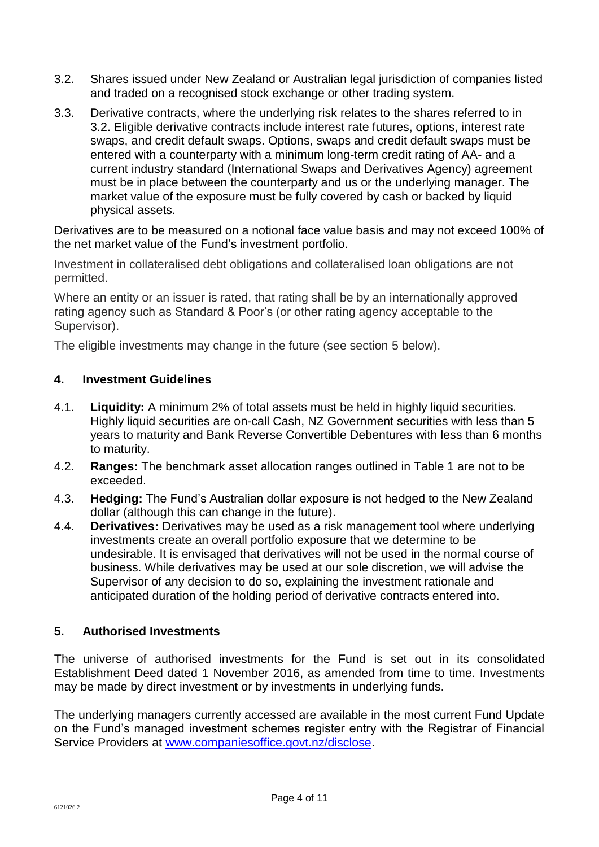- 3.2. Shares issued under New Zealand or Australian legal jurisdiction of companies listed and traded on a recognised stock exchange or other trading system.
- 3.3. Derivative contracts, where the underlying risk relates to the shares referred to in 3.2. Eligible derivative contracts include interest rate futures, options, interest rate swaps, and credit default swaps. Options, swaps and credit default swaps must be entered with a counterparty with a minimum long-term credit rating of AA- and a current industry standard (International Swaps and Derivatives Agency) agreement must be in place between the counterparty and us or the underlying manager. The market value of the exposure must be fully covered by cash or backed by liquid physical assets.

Derivatives are to be measured on a notional face value basis and may not exceed 100% of the net market value of the Fund's investment portfolio.

Investment in collateralised debt obligations and collateralised loan obligations are not permitted.

Where an entity or an issuer is rated, that rating shall be by an internationally approved rating agency such as Standard & Poor's (or other rating agency acceptable to the Supervisor).

The eligible investments may change in the future (see section 5 below).

## **4. Investment Guidelines**

- 4.1. **Liquidity:** A minimum 2% of total assets must be held in highly liquid securities. Highly liquid securities are on-call Cash, NZ Government securities with less than 5 years to maturity and Bank Reverse Convertible Debentures with less than 6 months to maturity.
- 4.2. **Ranges:** The benchmark asset allocation ranges outlined in Table 1 are not to be exceeded.
- 4.3. **Hedging:** The Fund's Australian dollar exposure is not hedged to the New Zealand dollar (although this can change in the future).
- 4.4. **Derivatives:** Derivatives may be used as a risk management tool where underlying investments create an overall portfolio exposure that we determine to be undesirable. It is envisaged that derivatives will not be used in the normal course of business. While derivatives may be used at our sole discretion, we will advise the Supervisor of any decision to do so, explaining the investment rationale and anticipated duration of the holding period of derivative contracts entered into.

## **5. Authorised Investments**

The universe of authorised investments for the Fund is set out in its consolidated Establishment Deed dated 1 November 2016, as amended from time to time. Investments may be made by direct investment or by investments in underlying funds.

The underlying managers currently accessed are available in the most current Fund Update on the Fund's managed investment schemes register entry with the Registrar of Financial Service Providers at [www.companiesoffice.govt.nz/disclose.](http://www.business.govt.nz/disclose)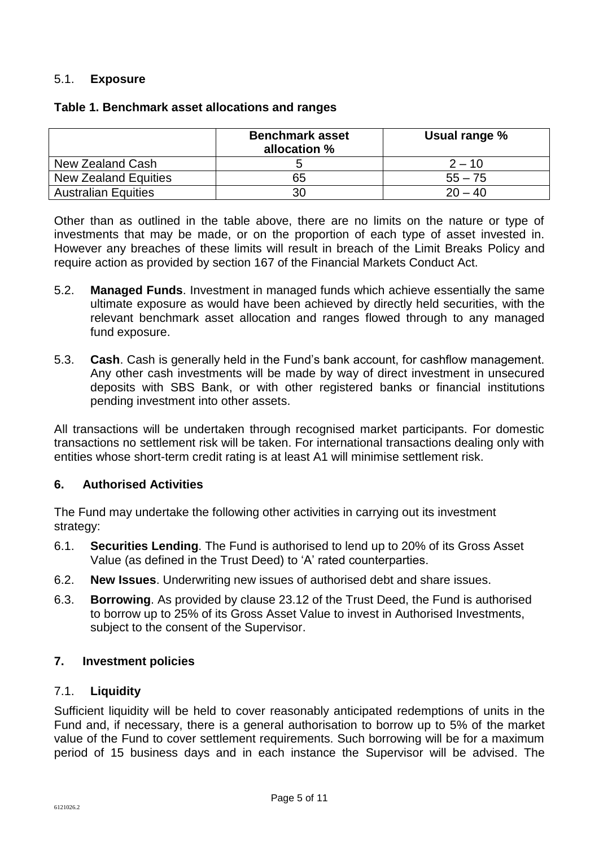#### 5.1. **Exposure**

|                            | <b>Benchmark asset</b><br>allocation % | Usual range % |
|----------------------------|----------------------------------------|---------------|
| New Zealand Cash           |                                        | $2 - 10$      |
| New Zealand Equities       | 65                                     | $55 - 75$     |
| <b>Australian Equities</b> | 30                                     | $20 - 40$     |

#### **Table 1. Benchmark asset allocations and ranges**

Other than as outlined in the table above, there are no limits on the nature or type of investments that may be made, or on the proportion of each type of asset invested in. However any breaches of these limits will result in breach of the Limit Breaks Policy and require action as provided by section 167 of the Financial Markets Conduct Act.

- 5.2. **Managed Funds**. Investment in managed funds which achieve essentially the same ultimate exposure as would have been achieved by directly held securities, with the relevant benchmark asset allocation and ranges flowed through to any managed fund exposure.
- 5.3. **Cash**. Cash is generally held in the Fund's bank account, for cashflow management. Any other cash investments will be made by way of direct investment in unsecured deposits with SBS Bank, or with other registered banks or financial institutions pending investment into other assets.

All transactions will be undertaken through recognised market participants. For domestic transactions no settlement risk will be taken. For international transactions dealing only with entities whose short-term credit rating is at least A1 will minimise settlement risk.

## **6. Authorised Activities**

The Fund may undertake the following other activities in carrying out its investment strategy:

- 6.1. **Securities Lending**. The Fund is authorised to lend up to 20% of its Gross Asset Value (as defined in the Trust Deed) to 'A' rated counterparties.
- 6.2. **New Issues**. Underwriting new issues of authorised debt and share issues.
- 6.3. **Borrowing**. As provided by clause 23.12 of the Trust Deed, the Fund is authorised to borrow up to 25% of its Gross Asset Value to invest in Authorised Investments, subject to the consent of the Supervisor.

## **7. Investment policies**

#### 7.1. **Liquidity**

Sufficient liquidity will be held to cover reasonably anticipated redemptions of units in the Fund and, if necessary, there is a general authorisation to borrow up to 5% of the market value of the Fund to cover settlement requirements. Such borrowing will be for a maximum period of 15 business days and in each instance the Supervisor will be advised. The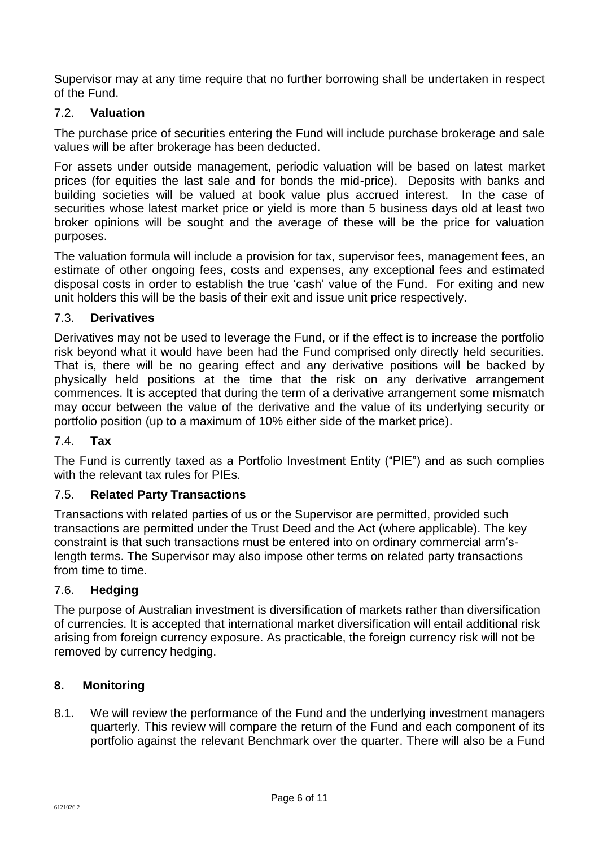Supervisor may at any time require that no further borrowing shall be undertaken in respect of the Fund.

# 7.2. **Valuation**

The purchase price of securities entering the Fund will include purchase brokerage and sale values will be after brokerage has been deducted.

For assets under outside management, periodic valuation will be based on latest market prices (for equities the last sale and for bonds the mid-price). Deposits with banks and building societies will be valued at book value plus accrued interest. In the case of securities whose latest market price or yield is more than 5 business days old at least two broker opinions will be sought and the average of these will be the price for valuation purposes.

The valuation formula will include a provision for tax, supervisor fees, management fees, an estimate of other ongoing fees, costs and expenses, any exceptional fees and estimated disposal costs in order to establish the true 'cash' value of the Fund. For exiting and new unit holders this will be the basis of their exit and issue unit price respectively.

## 7.3. **Derivatives**

Derivatives may not be used to leverage the Fund, or if the effect is to increase the portfolio risk beyond what it would have been had the Fund comprised only directly held securities. That is, there will be no gearing effect and any derivative positions will be backed by physically held positions at the time that the risk on any derivative arrangement commences. It is accepted that during the term of a derivative arrangement some mismatch may occur between the value of the derivative and the value of its underlying security or portfolio position (up to a maximum of 10% either side of the market price).

#### 7.4. **Tax**

The Fund is currently taxed as a Portfolio Investment Entity ("PIE") and as such complies with the relevant tax rules for PIEs.

#### 7.5. **Related Party Transactions**

Transactions with related parties of us or the Supervisor are permitted, provided such transactions are permitted under the Trust Deed and the Act (where applicable). The key constraint is that such transactions must be entered into on ordinary commercial arm'slength terms. The Supervisor may also impose other terms on related party transactions from time to time.

## 7.6. **Hedging**

The purpose of Australian investment is diversification of markets rather than diversification of currencies. It is accepted that international market diversification will entail additional risk arising from foreign currency exposure. As practicable, the foreign currency risk will not be removed by currency hedging.

#### **8. Monitoring**

8.1. We will review the performance of the Fund and the underlying investment managers quarterly. This review will compare the return of the Fund and each component of its portfolio against the relevant Benchmark over the quarter. There will also be a Fund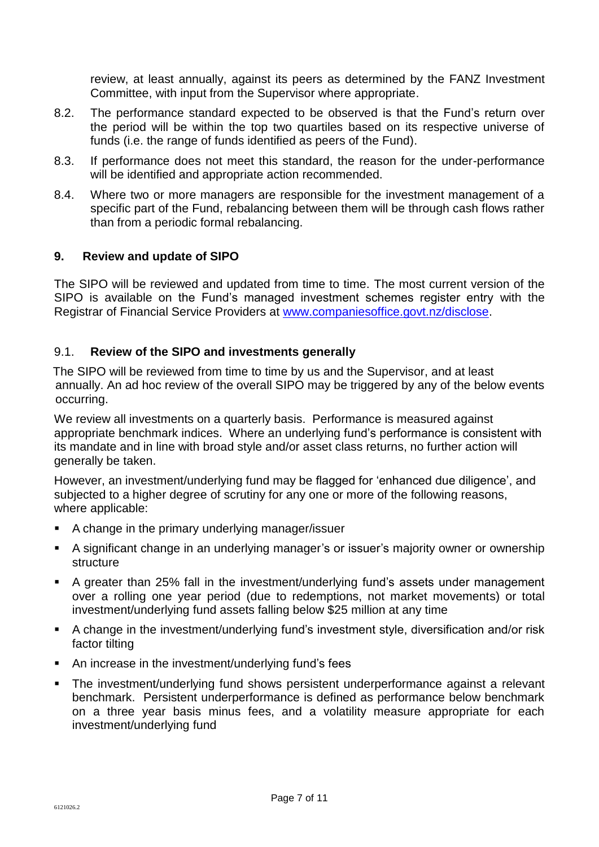review, at least annually, against its peers as determined by the FANZ Investment Committee, with input from the Supervisor where appropriate.

- 8.2. The performance standard expected to be observed is that the Fund's return over the period will be within the top two quartiles based on its respective universe of funds (i.e. the range of funds identified as peers of the Fund).
- 8.3. If performance does not meet this standard, the reason for the under-performance will be identified and appropriate action recommended.
- 8.4. Where two or more managers are responsible for the investment management of a specific part of the Fund, rebalancing between them will be through cash flows rather than from a periodic formal rebalancing.

## **9. Review and update of SIPO**

The SIPO will be reviewed and updated from time to time. The most current version of the SIPO is available on the Fund's managed investment schemes register entry with the Registrar of Financial Service Providers at [www.companiesoffice.govt.nz/disclose.](www.companiesoffice.govt.nz/disclose)

## 9.1. **Review of the SIPO and investments generally**

The SIPO will be reviewed from time to time by us and the Supervisor, and at least annually. An ad hoc review of the overall SIPO may be triggered by any of the below events occurring.

We review all investments on a quarterly basis. Performance is measured against appropriate benchmark indices. Where an underlying fund's performance is consistent with its mandate and in line with broad style and/or asset class returns, no further action will generally be taken.

However, an investment/underlying fund may be flagged for 'enhanced due diligence', and subjected to a higher degree of scrutiny for any one or more of the following reasons, where applicable:

- A change in the primary underlying manager/issuer
- A significant change in an underlying manager's or issuer's majority owner or ownership structure
- A greater than 25% fall in the investment/underlying fund's assets under management over a rolling one year period (due to redemptions, not market movements) or total investment/underlying fund assets falling below \$25 million at any time
- A change in the investment/underlying fund's investment style, diversification and/or risk factor tilting
- An increase in the investment/underlying fund's fees
- The investment/underlying fund shows persistent underperformance against a relevant benchmark. Persistent underperformance is defined as performance below benchmark on a three year basis minus fees, and a volatility measure appropriate for each investment/underlying fund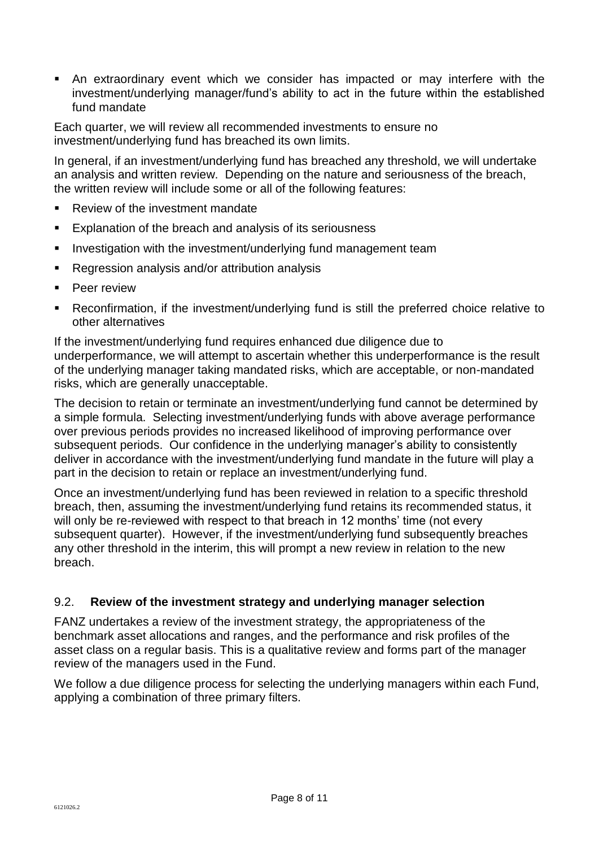An extraordinary event which we consider has impacted or may interfere with the investment/underlying manager/fund's ability to act in the future within the established fund mandate

Each quarter, we will review all recommended investments to ensure no investment/underlying fund has breached its own limits.

In general, if an investment/underlying fund has breached any threshold, we will undertake an analysis and written review. Depending on the nature and seriousness of the breach, the written review will include some or all of the following features:

- Review of the investment mandate
- **Explanation of the breach and analysis of its seriousness**
- Investigation with the investment/underlying fund management team
- Regression analysis and/or attribution analysis
- Peer review
- Reconfirmation, if the investment/underlying fund is still the preferred choice relative to other alternatives

If the investment/underlying fund requires enhanced due diligence due to underperformance, we will attempt to ascertain whether this underperformance is the result of the underlying manager taking mandated risks, which are acceptable, or non-mandated risks, which are generally unacceptable.

The decision to retain or terminate an investment/underlying fund cannot be determined by a simple formula. Selecting investment/underlying funds with above average performance over previous periods provides no increased likelihood of improving performance over subsequent periods. Our confidence in the underlying manager's ability to consistently deliver in accordance with the investment/underlying fund mandate in the future will play a part in the decision to retain or replace an investment/underlying fund.

Once an investment/underlying fund has been reviewed in relation to a specific threshold breach, then, assuming the investment/underlying fund retains its recommended status, it will only be re-reviewed with respect to that breach in 12 months' time (not every subsequent quarter). However, if the investment/underlying fund subsequently breaches any other threshold in the interim, this will prompt a new review in relation to the new breach.

## 9.2. **Review of the investment strategy and underlying manager selection**

FANZ undertakes a review of the investment strategy, the appropriateness of the benchmark asset allocations and ranges, and the performance and risk profiles of the asset class on a regular basis. This is a qualitative review and forms part of the manager review of the managers used in the Fund.

We follow a due diligence process for selecting the underlying managers within each Fund, applying a combination of three primary filters.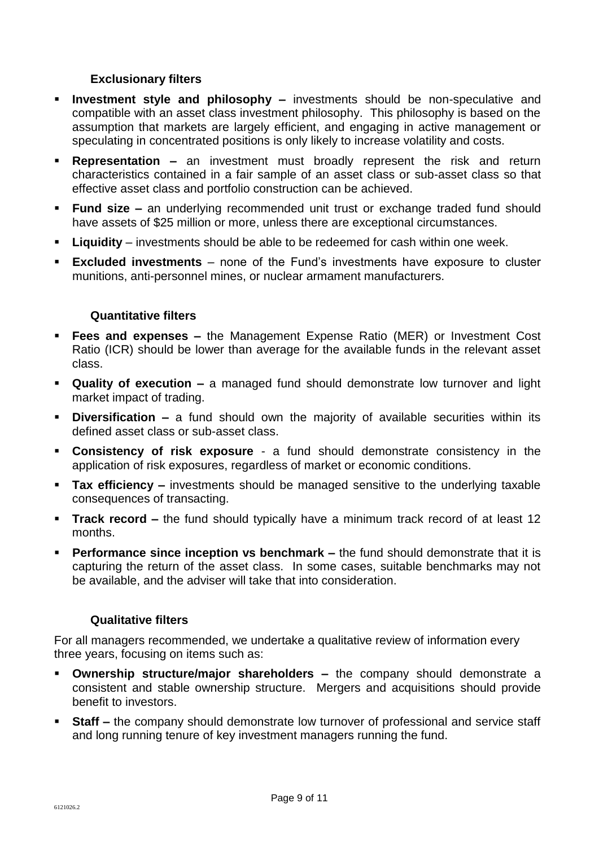## **Exclusionary filters**

- **Investment style and philosophy –** investments should be non-speculative and compatible with an asset class investment philosophy. This philosophy is based on the assumption that markets are largely efficient, and engaging in active management or speculating in concentrated positions is only likely to increase volatility and costs.
- **Representation –** an investment must broadly represent the risk and return characteristics contained in a fair sample of an asset class or sub-asset class so that effective asset class and portfolio construction can be achieved.
- **Fund size –** an underlying recommended unit trust or exchange traded fund should have assets of \$25 million or more, unless there are exceptional circumstances.
- **Liquidity** investments should be able to be redeemed for cash within one week.
- **Excluded investments** none of the Fund's investments have exposure to cluster munitions, anti-personnel mines, or nuclear armament manufacturers.

## **Quantitative filters**

- **Fees and expenses –** the Management Expense Ratio (MER) or Investment Cost Ratio (ICR) should be lower than average for the available funds in the relevant asset class.
- **Quality of execution –** a managed fund should demonstrate low turnover and light market impact of trading.
- **Diversification –** a fund should own the majority of available securities within its defined asset class or sub-asset class.
- **Consistency of risk exposure** a fund should demonstrate consistency in the application of risk exposures, regardless of market or economic conditions.
- **Tax efficiency –** investments should be managed sensitive to the underlying taxable consequences of transacting.
- **Track record –** the fund should typically have a minimum track record of at least 12 months.
- **Performance since inception vs benchmark –** the fund should demonstrate that it is capturing the return of the asset class. In some cases, suitable benchmarks may not be available, and the adviser will take that into consideration.

## **Qualitative filters**

For all managers recommended, we undertake a qualitative review of information every three years, focusing on items such as:

- **Ownership structure/major shareholders –** the company should demonstrate a consistent and stable ownership structure. Mergers and acquisitions should provide benefit to investors.
- **Staff –** the company should demonstrate low turnover of professional and service staff and long running tenure of key investment managers running the fund.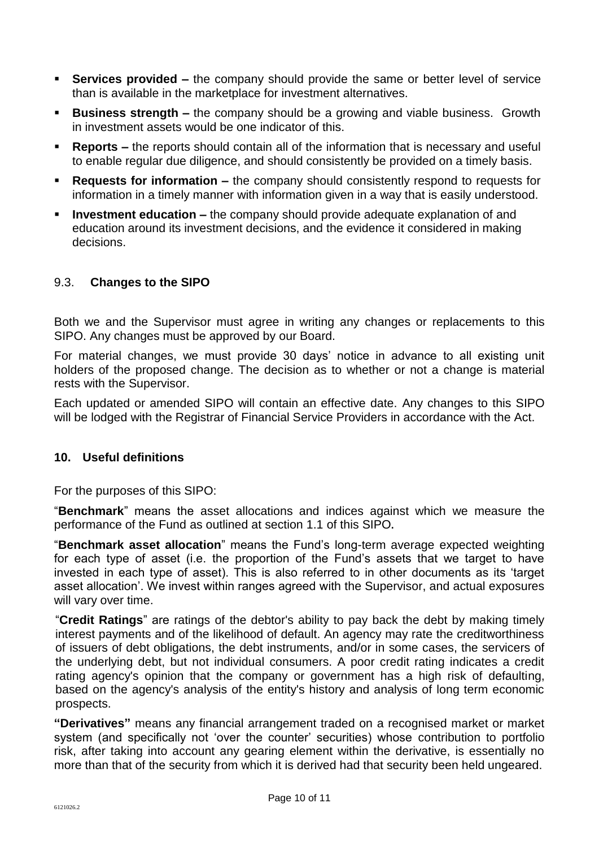- **Services provided –** the company should provide the same or better level of service than is available in the marketplace for investment alternatives.
- **Business strength –** the company should be a growing and viable business. Growth in investment assets would be one indicator of this.
- **Reports –** the reports should contain all of the information that is necessary and useful to enable regular due diligence, and should consistently be provided on a timely basis.
- **Requests for information –** the company should consistently respond to requests for information in a timely manner with information given in a way that is easily understood.
- **Investment education –** the company should provide adequate explanation of and education around its investment decisions, and the evidence it considered in making decisions.

# 9.3. **Changes to the SIPO**

Both we and the Supervisor must agree in writing any changes or replacements to this SIPO. Any changes must be approved by our Board.

For material changes, we must provide 30 days' notice in advance to all existing unit holders of the proposed change. The decision as to whether or not a change is material rests with the Supervisor.

Each updated or amended SIPO will contain an effective date. Any changes to this SIPO will be lodged with the Registrar of Financial Service Providers in accordance with the Act.

## **10. Useful definitions**

For the purposes of this SIPO:

"**Benchmark**" means the asset allocations and indices against which we measure the performance of the Fund as outlined at section 1.1 of this SIPO**.**

"**Benchmark asset allocation**" means the Fund's long-term average expected weighting for each type of asset (i.e. the proportion of the Fund's assets that we target to have invested in each type of asset). This is also referred to in other documents as its 'target asset allocation'. We invest within ranges agreed with the Supervisor, and actual exposures will vary over time.

"**Credit Ratings**" are ratings of the debtor's ability to pay back the debt by making timely interest payments and of the likelihood of default. An agency may rate the creditworthiness of issuers of debt obligations, the debt instruments, and/or in some cases, the servicers of the underlying debt, but not individual consumers. A poor credit rating indicates a credit rating agency's opinion that the company or government has a high risk of defaulting, based on the agency's analysis of the entity's history and analysis of long term economic prospects.

**"Derivatives"** means any financial arrangement traded on a recognised market or market system (and specifically not 'over the counter' securities) whose contribution to portfolio risk, after taking into account any gearing element within the derivative, is essentially no more than that of the security from which it is derived had that security been held ungeared.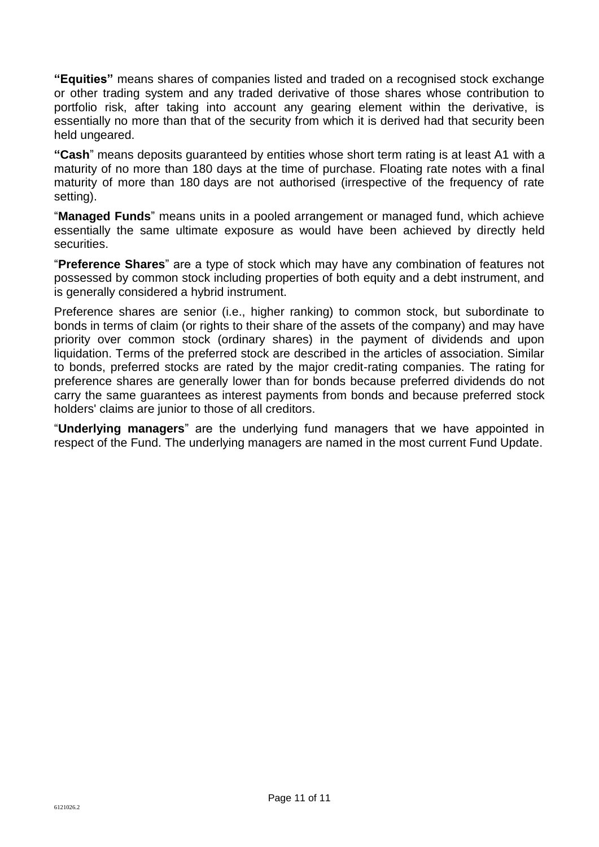**"Equities"** means shares of companies listed and traded on a recognised stock exchange or other trading system and any traded derivative of those shares whose contribution to portfolio risk, after taking into account any gearing element within the derivative, is essentially no more than that of the security from which it is derived had that security been held ungeared.

**"Cash**" means deposits guaranteed by entities whose short term rating is at least A1 with a maturity of no more than 180 days at the time of purchase. Floating rate notes with a final maturity of more than 180 days are not authorised (irrespective of the frequency of rate setting).

"**Managed Funds**" means units in a pooled arrangement or managed fund, which achieve essentially the same ultimate exposure as would have been achieved by directly held securities.

"**Preference Shares**" are a type of stock which may have any combination of features not possessed by common stock including properties of both equity and a debt instrument, and is generally considered a hybrid instrument.

Preference shares are senior (i.e., higher ranking) to common stock, but subordinate to bonds in terms of claim (or rights to their share of the assets of the company) and may have priority over common stock (ordinary shares) in the payment of dividends and upon liquidation. Terms of the preferred stock are described in the articles of association. Similar to bonds, preferred stocks are rated by the major credit-rating companies. The rating for preference shares are generally lower than for bonds because preferred dividends do not carry the same guarantees as interest payments from bonds and because preferred stock holders' claims are junior to those of all creditors.

"**Underlying managers**" are the underlying fund managers that we have appointed in respect of the Fund. The underlying managers are named in the most current Fund Update.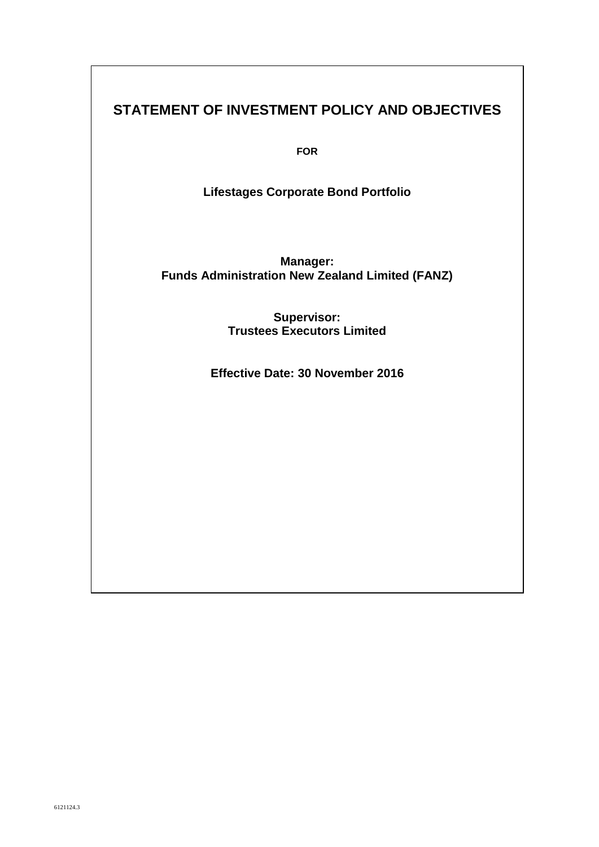# **STATEMENT OF INVESTMENT POLICY AND OBJECTIVES**

**FOR**

**Lifestages Corporate Bond Portfolio** 

**Manager: Funds Administration New Zealand Limited (FANZ)**

> **Supervisor: Trustees Executors Limited**

**Effective Date: 30 November 2016**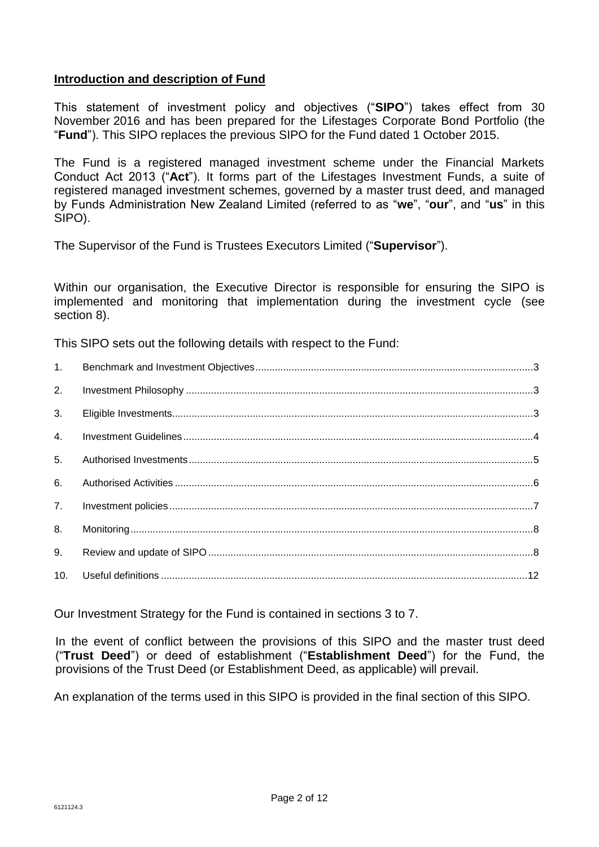## **Introduction and description of Fund**

This statement of investment policy and objectives ("**SIPO**") takes effect from 30 November 2016 and has been prepared for the Lifestages Corporate Bond Portfolio (the "**Fund**"). This SIPO replaces the previous SIPO for the Fund dated 1 October 2015.

The Fund is a registered managed investment scheme under the Financial Markets Conduct Act 2013 ("**Act**"). It forms part of the Lifestages Investment Funds, a suite of registered managed investment schemes, governed by a master trust deed, and managed by Funds Administration New Zealand Limited (referred to as "**we**", "**our**", and "**us**" in this SIPO).

The Supervisor of the Fund is Trustees Executors Limited ("**Supervisor**").

Within our organisation, the Executive Director is responsible for ensuring the SIPO is implemented and monitoring that implementation during the investment cycle (see section 8).

This SIPO sets out the following details with respect to the Fund:

| 1.             |  |
|----------------|--|
| 2.             |  |
| 3.             |  |
| 4.             |  |
| 5 <sub>1</sub> |  |
| 6.             |  |
| 7.             |  |
| 8.             |  |
| 9.             |  |
| 10.            |  |

Our Investment Strategy for the Fund is contained in sections 3 to 7.

In the event of conflict between the provisions of this SIPO and the master trust deed ("**Trust Deed**") or deed of establishment ("**Establishment Deed**") for the Fund, the provisions of the Trust Deed (or Establishment Deed, as applicable) will prevail.

An explanation of the terms used in this SIPO is provided in the final section of this SIPO.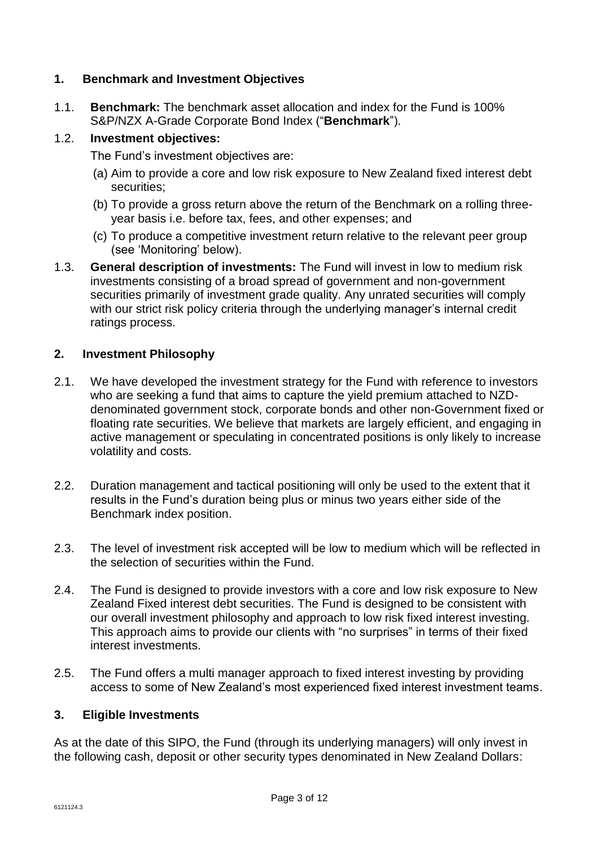## **1. Benchmark and Investment Objectives**

1.1. **Benchmark:** The benchmark asset allocation and index for the Fund is 100% S&P/NZX A-Grade Corporate Bond Index ("**Benchmark**").

## 1.2. **Investment objectives:**

The Fund's investment objectives are:

- (a) Aim to provide a core and low risk exposure to New Zealand fixed interest debt securities;
- (b) To provide a gross return above the return of the Benchmark on a rolling threeyear basis i.e. before tax, fees, and other expenses; and
- (c) To produce a competitive investment return relative to the relevant peer group (see 'Monitoring' below).
- 1.3. **General description of investments:** The Fund will invest in low to medium risk investments consisting of a broad spread of government and non-government securities primarily of investment grade quality. Any unrated securities will comply with our strict risk policy criteria through the underlying manager's internal credit ratings process.

## **2. Investment Philosophy**

- 2.1. We have developed the investment strategy for the Fund with reference to investors who are seeking a fund that aims to capture the yield premium attached to NZDdenominated government stock, corporate bonds and other non-Government fixed or floating rate securities. We believe that markets are largely efficient, and engaging in active management or speculating in concentrated positions is only likely to increase volatility and costs.
- 2.2. Duration management and tactical positioning will only be used to the extent that it results in the Fund's duration being plus or minus two years either side of the Benchmark index position.
- 2.3. The level of investment risk accepted will be low to medium which will be reflected in the selection of securities within the Fund.
- 2.4. The Fund is designed to provide investors with a core and low risk exposure to New Zealand Fixed interest debt securities. The Fund is designed to be consistent with our overall investment philosophy and approach to low risk fixed interest investing. This approach aims to provide our clients with "no surprises" in terms of their fixed interest investments.
- 2.5. The Fund offers a multi manager approach to fixed interest investing by providing access to some of New Zealand's most experienced fixed interest investment teams.

## **3. Eligible Investments**

As at the date of this SIPO, the Fund (through its underlying managers) will only invest in the following cash, deposit or other security types denominated in New Zealand Dollars: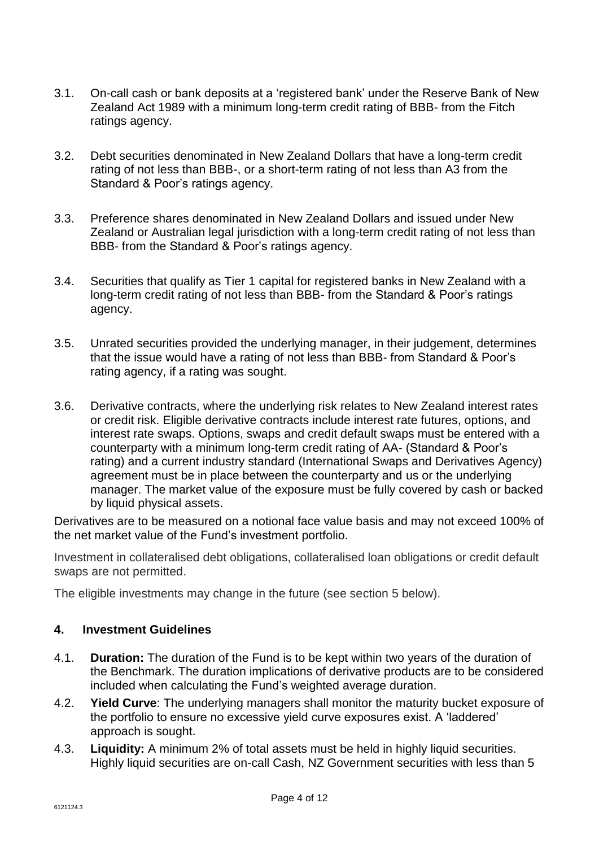- 3.1. On-call cash or bank deposits at a 'registered bank' under the Reserve Bank of New Zealand Act 1989 with a minimum long-term credit rating of BBB- from the Fitch ratings agency.
- 3.2. Debt securities denominated in New Zealand Dollars that have a long-term credit rating of not less than BBB-, or a short-term rating of not less than A3 from the Standard & Poor's ratings agency.
- 3.3. Preference shares denominated in New Zealand Dollars and issued under New Zealand or Australian legal jurisdiction with a long-term credit rating of not less than BBB- from the Standard & Poor's ratings agency.
- 3.4. Securities that qualify as Tier 1 capital for registered banks in New Zealand with a long-term credit rating of not less than BBB- from the Standard & Poor's ratings agency.
- 3.5. Unrated securities provided the underlying manager, in their judgement, determines that the issue would have a rating of not less than BBB- from Standard & Poor's rating agency, if a rating was sought.
- 3.6. Derivative contracts, where the underlying risk relates to New Zealand interest rates or credit risk. Eligible derivative contracts include interest rate futures, options, and interest rate swaps. Options, swaps and credit default swaps must be entered with a counterparty with a minimum long-term credit rating of AA- (Standard & Poor's rating) and a current industry standard (International Swaps and Derivatives Agency) agreement must be in place between the counterparty and us or the underlying manager. The market value of the exposure must be fully covered by cash or backed by liquid physical assets.

Derivatives are to be measured on a notional face value basis and may not exceed 100% of the net market value of the Fund's investment portfolio.

Investment in collateralised debt obligations, collateralised loan obligations or credit default swaps are not permitted.

The eligible investments may change in the future (see section 5 below).

## **4. Investment Guidelines**

- 4.1. **Duration:** The duration of the Fund is to be kept within two years of the duration of the Benchmark. The duration implications of derivative products are to be considered included when calculating the Fund's weighted average duration.
- 4.2. **Yield Curve**: The underlying managers shall monitor the maturity bucket exposure of the portfolio to ensure no excessive yield curve exposures exist. A 'laddered' approach is sought.
- 4.3. **Liquidity:** A minimum 2% of total assets must be held in highly liquid securities. Highly liquid securities are on-call Cash, NZ Government securities with less than 5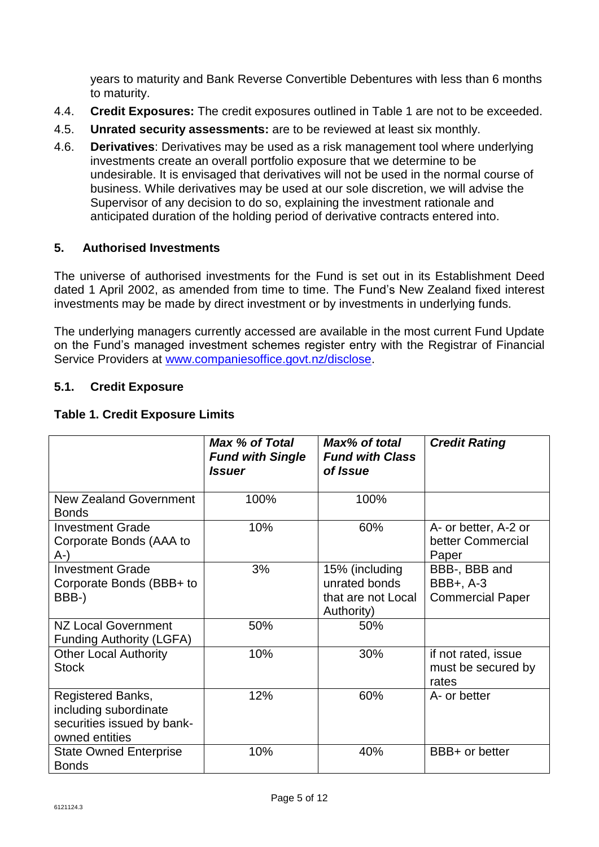years to maturity and Bank Reverse Convertible Debentures with less than 6 months to maturity.

- 4.4. **Credit Exposures:** The credit exposures outlined in Table 1 are not to be exceeded.
- 4.5. **Unrated security assessments:** are to be reviewed at least six monthly.
- 4.6. **Derivatives**: Derivatives may be used as a risk management tool where underlying investments create an overall portfolio exposure that we determine to be undesirable. It is envisaged that derivatives will not be used in the normal course of business. While derivatives may be used at our sole discretion, we will advise the Supervisor of any decision to do so, explaining the investment rationale and anticipated duration of the holding period of derivative contracts entered into.

## **5. Authorised Investments**

The universe of authorised investments for the Fund is set out in its Establishment Deed dated 1 April 2002, as amended from time to time. The Fund's New Zealand fixed interest investments may be made by direct investment or by investments in underlying funds.

The underlying managers currently accessed are available in the most current Fund Update on the Fund's managed investment schemes register entry with the Registrar of Financial Service Providers at [www.companiesoffice.govt.nz/disclose.](http://www.companiesoffice.govt.nz/disclose)

## **5.1. Credit Exposure**

## **Table 1. Credit Exposure Limits**

|                                                                                            | Max % of Total<br><b>Fund with Single</b><br><i><b>Issuer</b></i> | Max% of total<br><b>Fund with Class</b><br>of Issue                 | <b>Credit Rating</b>                                  |
|--------------------------------------------------------------------------------------------|-------------------------------------------------------------------|---------------------------------------------------------------------|-------------------------------------------------------|
| New Zealand Government<br><b>Bonds</b>                                                     | 100%                                                              | 100%                                                                |                                                       |
| <b>Investment Grade</b><br>Corporate Bonds (AAA to<br>A-)                                  | 10%                                                               | 60%                                                                 | A- or better, A-2 or<br>better Commercial<br>Paper    |
| <b>Investment Grade</b><br>Corporate Bonds (BBB+ to<br>BBB-)                               | 3%                                                                | 15% (including<br>unrated bonds<br>that are not Local<br>Authority) | BBB-, BBB and<br>BBB+, A-3<br><b>Commercial Paper</b> |
| <b>NZ Local Government</b><br><b>Funding Authority (LGFA)</b>                              | 50%                                                               | 50%                                                                 |                                                       |
| <b>Other Local Authority</b><br><b>Stock</b>                                               | 10%                                                               | 30%                                                                 | if not rated, issue<br>must be secured by<br>rates    |
| Registered Banks,<br>including subordinate<br>securities issued by bank-<br>owned entities | 12%                                                               | 60%                                                                 | A- or better                                          |
| <b>State Owned Enterprise</b><br><b>Bonds</b>                                              | 10%                                                               | 40%                                                                 | BBB+ or better                                        |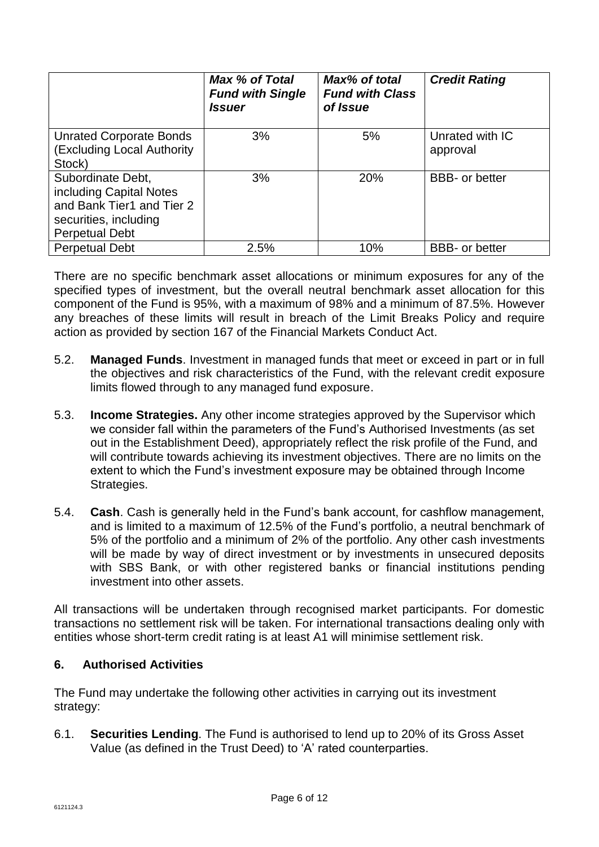|                                                                                                                             | Max % of Total<br><b>Fund with Single</b><br><i><b>Issuer</b></i> | Max% of total<br><b>Fund with Class</b><br>of Issue | <b>Credit Rating</b>        |
|-----------------------------------------------------------------------------------------------------------------------------|-------------------------------------------------------------------|-----------------------------------------------------|-----------------------------|
| <b>Unrated Corporate Bonds</b><br>(Excluding Local Authority<br>Stock)                                                      | 3%                                                                | 5%                                                  | Unrated with IC<br>approval |
| Subordinate Debt,<br>including Capital Notes<br>and Bank Tier1 and Tier 2<br>securities, including<br><b>Perpetual Debt</b> | 3%                                                                | 20%                                                 | <b>BBB-</b> or better       |
| <b>Perpetual Debt</b>                                                                                                       | 2.5%                                                              | 10%                                                 | <b>BBB-</b> or better       |

There are no specific benchmark asset allocations or minimum exposures for any of the specified types of investment, but the overall neutral benchmark asset allocation for this component of the Fund is 95%, with a maximum of 98% and a minimum of 87.5%. However any breaches of these limits will result in breach of the Limit Breaks Policy and require action as provided by section 167 of the Financial Markets Conduct Act.

- 5.2. **Managed Funds**. Investment in managed funds that meet or exceed in part or in full the objectives and risk characteristics of the Fund, with the relevant credit exposure limits flowed through to any managed fund exposure.
- 5.3. **Income Strategies.** Any other income strategies approved by the Supervisor which we consider fall within the parameters of the Fund's Authorised Investments (as set out in the Establishment Deed), appropriately reflect the risk profile of the Fund, and will contribute towards achieving its investment objectives. There are no limits on the extent to which the Fund's investment exposure may be obtained through Income Strategies.
- 5.4. **Cash**. Cash is generally held in the Fund's bank account, for cashflow management, and is limited to a maximum of 12.5% of the Fund's portfolio, a neutral benchmark of 5% of the portfolio and a minimum of 2% of the portfolio. Any other cash investments will be made by way of direct investment or by investments in unsecured deposits with SBS Bank, or with other registered banks or financial institutions pending investment into other assets.

All transactions will be undertaken through recognised market participants. For domestic transactions no settlement risk will be taken. For international transactions dealing only with entities whose short-term credit rating is at least A1 will minimise settlement risk.

# **6. Authorised Activities**

The Fund may undertake the following other activities in carrying out its investment strategy:

6.1. **Securities Lending**. The Fund is authorised to lend up to 20% of its Gross Asset Value (as defined in the Trust Deed) to 'A' rated counterparties.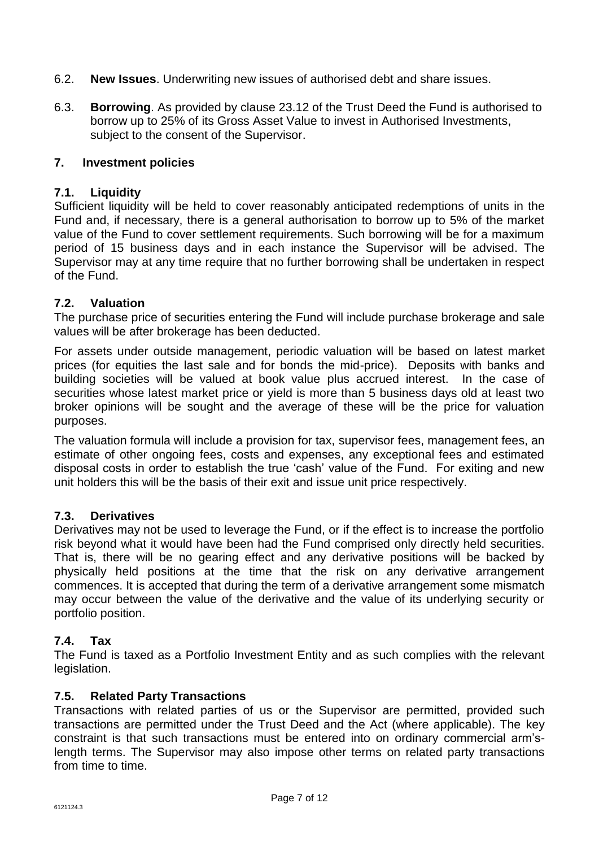- 6.2. **New Issues**. Underwriting new issues of authorised debt and share issues.
- 6.3. **Borrowing**. As provided by clause 23.12 of the Trust Deed the Fund is authorised to borrow up to 25% of its Gross Asset Value to invest in Authorised Investments, subject to the consent of the Supervisor.

## **7. Investment policies**

#### **7.1. Liquidity**

Sufficient liquidity will be held to cover reasonably anticipated redemptions of units in the Fund and, if necessary, there is a general authorisation to borrow up to 5% of the market value of the Fund to cover settlement requirements. Such borrowing will be for a maximum period of 15 business days and in each instance the Supervisor will be advised. The Supervisor may at any time require that no further borrowing shall be undertaken in respect of the Fund.

#### **7.2. Valuation**

The purchase price of securities entering the Fund will include purchase brokerage and sale values will be after brokerage has been deducted.

For assets under outside management, periodic valuation will be based on latest market prices (for equities the last sale and for bonds the mid-price). Deposits with banks and building societies will be valued at book value plus accrued interest. In the case of securities whose latest market price or yield is more than 5 business days old at least two broker opinions will be sought and the average of these will be the price for valuation purposes.

The valuation formula will include a provision for tax, supervisor fees, management fees, an estimate of other ongoing fees, costs and expenses, any exceptional fees and estimated disposal costs in order to establish the true 'cash' value of the Fund. For exiting and new unit holders this will be the basis of their exit and issue unit price respectively.

#### **7.3. Derivatives**

Derivatives may not be used to leverage the Fund, or if the effect is to increase the portfolio risk beyond what it would have been had the Fund comprised only directly held securities. That is, there will be no gearing effect and any derivative positions will be backed by physically held positions at the time that the risk on any derivative arrangement commences. It is accepted that during the term of a derivative arrangement some mismatch may occur between the value of the derivative and the value of its underlying security or portfolio position.

## **7.4. Tax**

The Fund is taxed as a Portfolio Investment Entity and as such complies with the relevant legislation.

#### **7.5. Related Party Transactions**

Transactions with related parties of us or the Supervisor are permitted, provided such transactions are permitted under the Trust Deed and the Act (where applicable). The key constraint is that such transactions must be entered into on ordinary commercial arm'slength terms. The Supervisor may also impose other terms on related party transactions from time to time.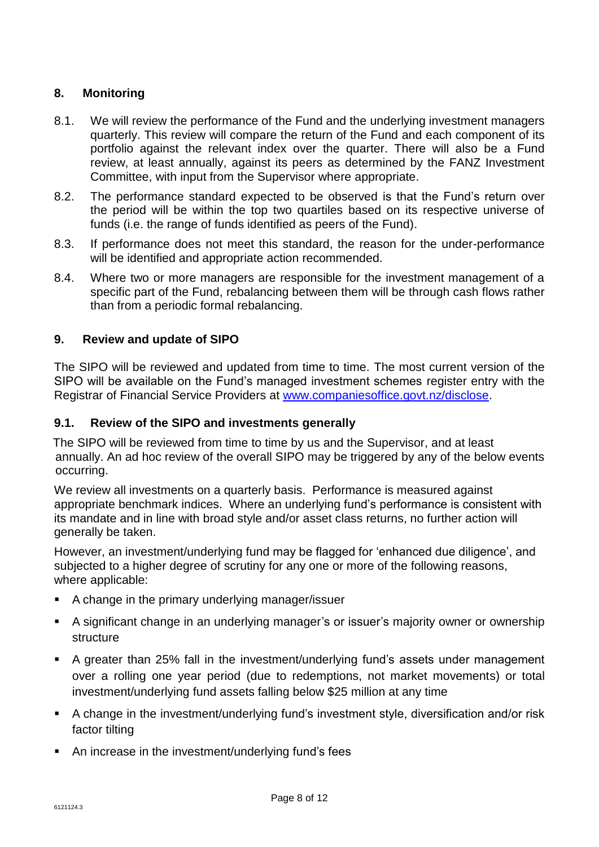# **8. Monitoring**

- 8.1. We will review the performance of the Fund and the underlying investment managers quarterly. This review will compare the return of the Fund and each component of its portfolio against the relevant index over the quarter. There will also be a Fund review, at least annually, against its peers as determined by the FANZ Investment Committee, with input from the Supervisor where appropriate.
- 8.2. The performance standard expected to be observed is that the Fund's return over the period will be within the top two quartiles based on its respective universe of funds (i.e. the range of funds identified as peers of the Fund).
- 8.3. If performance does not meet this standard, the reason for the under-performance will be identified and appropriate action recommended.
- 8.4. Where two or more managers are responsible for the investment management of a specific part of the Fund, rebalancing between them will be through cash flows rather than from a periodic formal rebalancing.

## **9. Review and update of SIPO**

The SIPO will be reviewed and updated from time to time. The most current version of the SIPO will be available on the Fund's managed investment schemes register entry with the Registrar of Financial Service Providers at [www.companiesoffice.govt.nz/disclose.](www.companiesoffice.govt.nz/disclose)

#### **9.1. Review of the SIPO and investments generally**

The SIPO will be reviewed from time to time by us and the Supervisor, and at least annually. An ad hoc review of the overall SIPO may be triggered by any of the below events occurring.

We review all investments on a quarterly basis. Performance is measured against appropriate benchmark indices. Where an underlying fund's performance is consistent with its mandate and in line with broad style and/or asset class returns, no further action will generally be taken.

However, an investment/underlying fund may be flagged for 'enhanced due diligence', and subjected to a higher degree of scrutiny for any one or more of the following reasons, where applicable:

- A change in the primary underlying manager/issuer
- A significant change in an underlying manager's or issuer's majority owner or ownership structure
- A greater than 25% fall in the investment/underlying fund's assets under management over a rolling one year period (due to redemptions, not market movements) or total investment/underlying fund assets falling below \$25 million at any time
- A change in the investment/underlying fund's investment style, diversification and/or risk factor tilting
- An increase in the investment/underlying fund's fees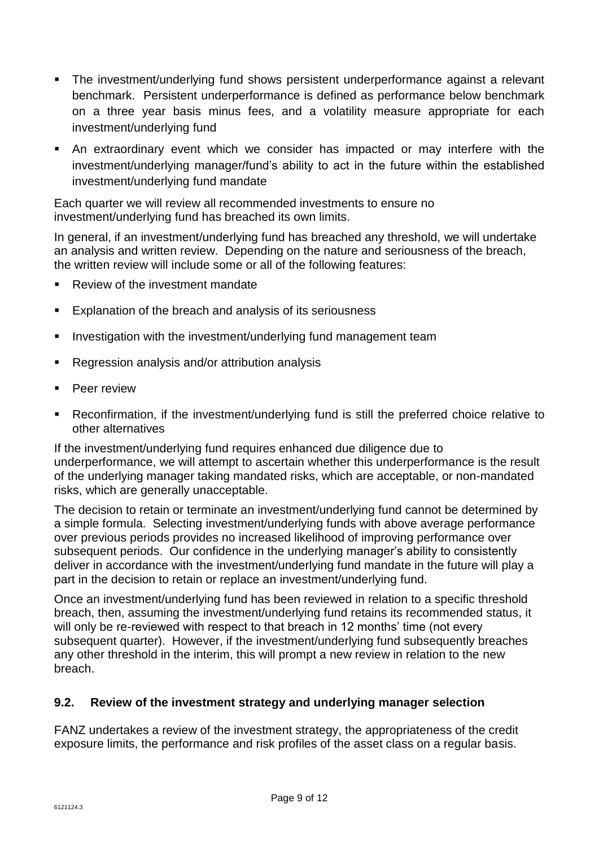- The investment/underlying fund shows persistent underperformance against a relevant benchmark. Persistent underperformance is defined as performance below benchmark on a three year basis minus fees, and a volatility measure appropriate for each investment/underlying fund
- An extraordinary event which we consider has impacted or may interfere with the investment/underlying manager/fund's ability to act in the future within the established investment/underlying fund mandate

Each quarter we will review all recommended investments to ensure no investment/underlying fund has breached its own limits.

In general, if an investment/underlying fund has breached any threshold, we will undertake an analysis and written review. Depending on the nature and seriousness of the breach, the written review will include some or all of the following features:

- Review of the investment mandate
- Explanation of the breach and analysis of its seriousness
- Investigation with the investment/underlying fund management team
- Regression analysis and/or attribution analysis
- Peer review
- Reconfirmation, if the investment/underlying fund is still the preferred choice relative to other alternatives

If the investment/underlying fund requires enhanced due diligence due to underperformance, we will attempt to ascertain whether this underperformance is the result of the underlying manager taking mandated risks, which are acceptable, or non-mandated risks, which are generally unacceptable.

The decision to retain or terminate an investment/underlying fund cannot be determined by a simple formula. Selecting investment/underlying funds with above average performance over previous periods provides no increased likelihood of improving performance over subsequent periods. Our confidence in the underlying manager's ability to consistently deliver in accordance with the investment/underlying fund mandate in the future will play a part in the decision to retain or replace an investment/underlying fund.

Once an investment/underlying fund has been reviewed in relation to a specific threshold breach, then, assuming the investment/underlying fund retains its recommended status, it will only be re-reviewed with respect to that breach in 12 months' time (not every subsequent quarter). However, if the investment/underlying fund subsequently breaches any other threshold in the interim, this will prompt a new review in relation to the new breach.

# **9.2. Review of the investment strategy and underlying manager selection**

FANZ undertakes a review of the investment strategy, the appropriateness of the credit exposure limits, the performance and risk profiles of the asset class on a regular basis.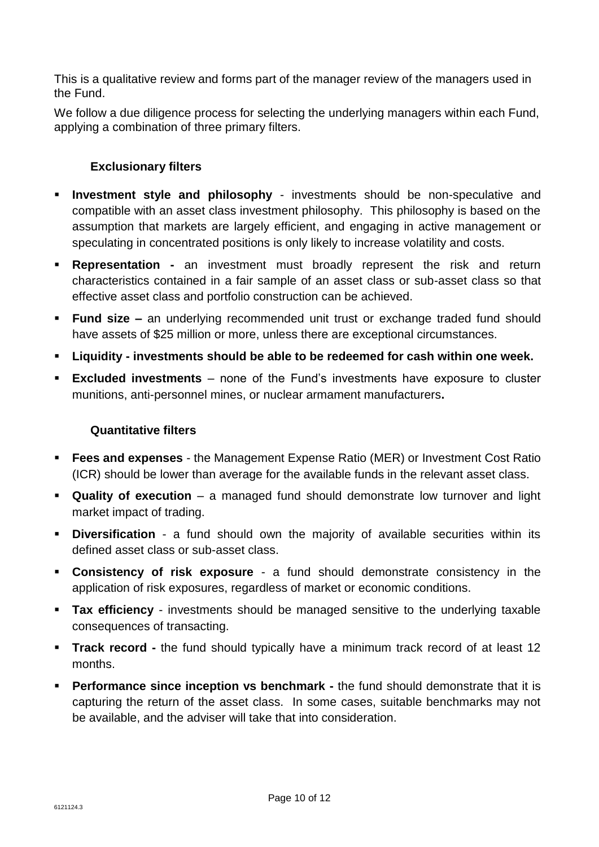This is a qualitative review and forms part of the manager review of the managers used in the Fund.

We follow a due diligence process for selecting the underlying managers within each Fund, applying a combination of three primary filters.

## **Exclusionary filters**

- **Investment style and philosophy** investments should be non-speculative and compatible with an asset class investment philosophy. This philosophy is based on the assumption that markets are largely efficient, and engaging in active management or speculating in concentrated positions is only likely to increase volatility and costs.
- **Representation -** an investment must broadly represent the risk and return characteristics contained in a fair sample of an asset class or sub-asset class so that effective asset class and portfolio construction can be achieved.
- **Fund size –** an underlying recommended unit trust or exchange traded fund should have assets of \$25 million or more, unless there are exceptional circumstances.
- **Liquidity - investments should be able to be redeemed for cash within one week.**
- **Excluded investments**  none of the Fund's investments have exposure to cluster munitions, anti-personnel mines, or nuclear armament manufacturers**.**

## **Quantitative filters**

- **Fees and expenses** the Management Expense Ratio (MER) or Investment Cost Ratio (ICR) should be lower than average for the available funds in the relevant asset class.
- **Quality of execution** a managed fund should demonstrate low turnover and light market impact of trading.
- **Diversification** a fund should own the majority of available securities within its defined asset class or sub-asset class.
- **Consistency of risk exposure** a fund should demonstrate consistency in the application of risk exposures, regardless of market or economic conditions.
- **Tax efficiency** investments should be managed sensitive to the underlying taxable consequences of transacting.
- **Track record -** the fund should typically have a minimum track record of at least 12 months.
- **Performance since inception vs benchmark -** the fund should demonstrate that it is capturing the return of the asset class. In some cases, suitable benchmarks may not be available, and the adviser will take that into consideration.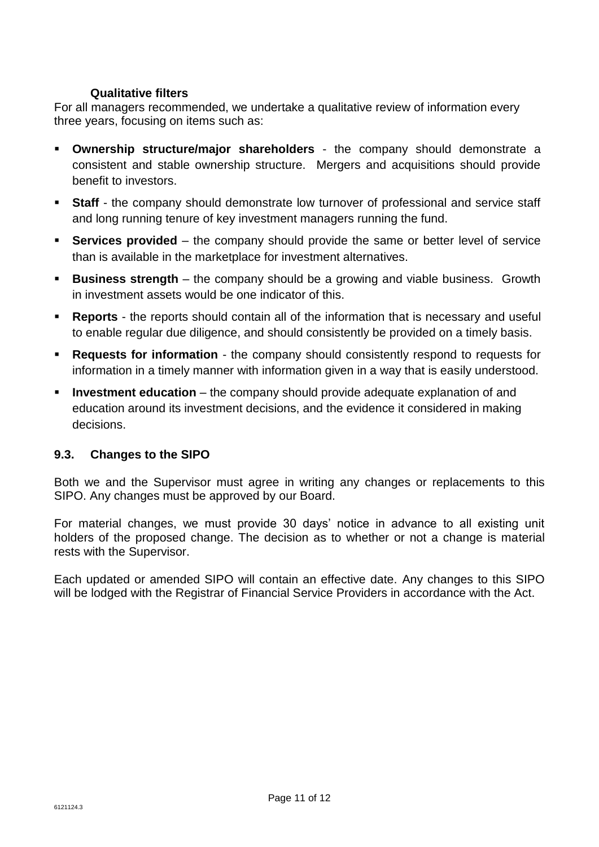## **Qualitative filters**

For all managers recommended, we undertake a qualitative review of information every three years, focusing on items such as:

- **Ownership structure/major shareholders** the company should demonstrate a consistent and stable ownership structure. Mergers and acquisitions should provide benefit to investors.
- **Staff** the company should demonstrate low turnover of professional and service staff and long running tenure of key investment managers running the fund.
- **Services provided** the company should provide the same or better level of service than is available in the marketplace for investment alternatives.
- **Business strength** the company should be a growing and viable business. Growth in investment assets would be one indicator of this.
- **Reports**  the reports should contain all of the information that is necessary and useful to enable regular due diligence, and should consistently be provided on a timely basis.
- **Requests for information** the company should consistently respond to requests for information in a timely manner with information given in a way that is easily understood.
- **Investment education** the company should provide adequate explanation of and education around its investment decisions, and the evidence it considered in making decisions.

# **9.3. Changes to the SIPO**

Both we and the Supervisor must agree in writing any changes or replacements to this SIPO. Any changes must be approved by our Board.

For material changes, we must provide 30 days' notice in advance to all existing unit holders of the proposed change. The decision as to whether or not a change is material rests with the Supervisor.

Each updated or amended SIPO will contain an effective date. Any changes to this SIPO will be lodged with the Registrar of Financial Service Providers in accordance with the Act.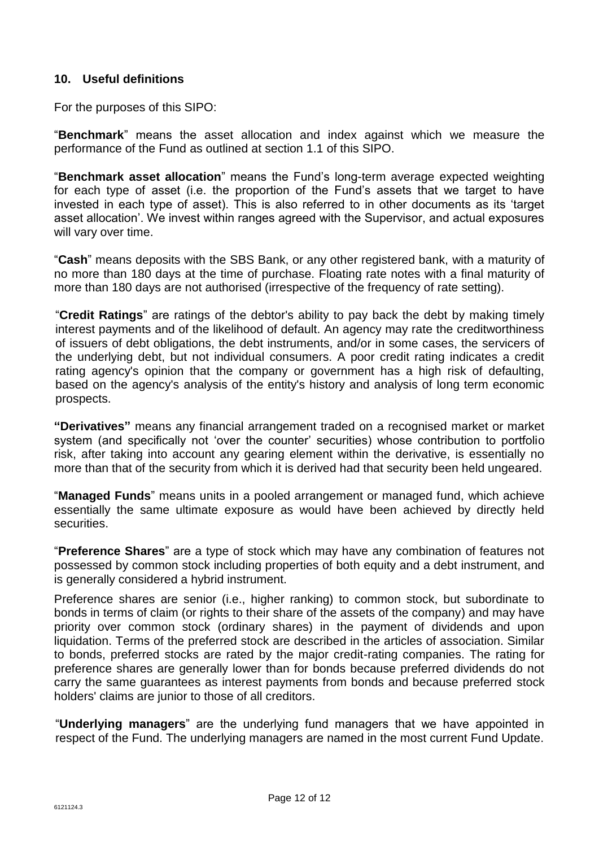## **10. Useful definitions**

For the purposes of this SIPO:

"**Benchmark**" means the asset allocation and index against which we measure the performance of the Fund as outlined at section 1.1 of this SIPO.

"**Benchmark asset allocation**" means the Fund's long-term average expected weighting for each type of asset (i.e. the proportion of the Fund's assets that we target to have invested in each type of asset). This is also referred to in other documents as its 'target asset allocation'. We invest within ranges agreed with the Supervisor, and actual exposures will vary over time.

"**Cash**" means deposits with the SBS Bank, or any other registered bank, with a maturity of no more than 180 days at the time of purchase. Floating rate notes with a final maturity of more than 180 days are not authorised (irrespective of the frequency of rate setting).

"**Credit Ratings**" are ratings of the debtor's ability to pay back the debt by making timely interest payments and of the likelihood of default. An agency may rate the creditworthiness of issuers of debt obligations, the debt instruments, and/or in some cases, the servicers of the underlying debt, but not individual consumers. A poor credit rating indicates a credit rating agency's opinion that the company or government has a high risk of defaulting, based on the agency's analysis of the entity's history and analysis of long term economic prospects.

**"Derivatives"** means any financial arrangement traded on a recognised market or market system (and specifically not 'over the counter' securities) whose contribution to portfolio risk, after taking into account any gearing element within the derivative, is essentially no more than that of the security from which it is derived had that security been held ungeared.

"**Managed Funds**" means units in a pooled arrangement or managed fund, which achieve essentially the same ultimate exposure as would have been achieved by directly held securities.

"**Preference Shares**" are a type of stock which may have any combination of features not possessed by common stock including properties of both equity and a debt instrument, and is generally considered a hybrid instrument.

Preference shares are senior (i.e., higher ranking) to common stock, but subordinate to bonds in terms of claim (or rights to their share of the assets of the company) and may have priority over common stock (ordinary shares) in the payment of dividends and upon liquidation. Terms of the preferred stock are described in the articles of association. Similar to bonds, preferred stocks are rated by the major credit-rating companies. The rating for preference shares are generally lower than for bonds because preferred dividends do not carry the same guarantees as interest payments from bonds and because preferred stock holders' claims are junior to those of all creditors.

"**Underlying managers**" are the underlying fund managers that we have appointed in respect of the Fund. The underlying managers are named in the most current Fund Update.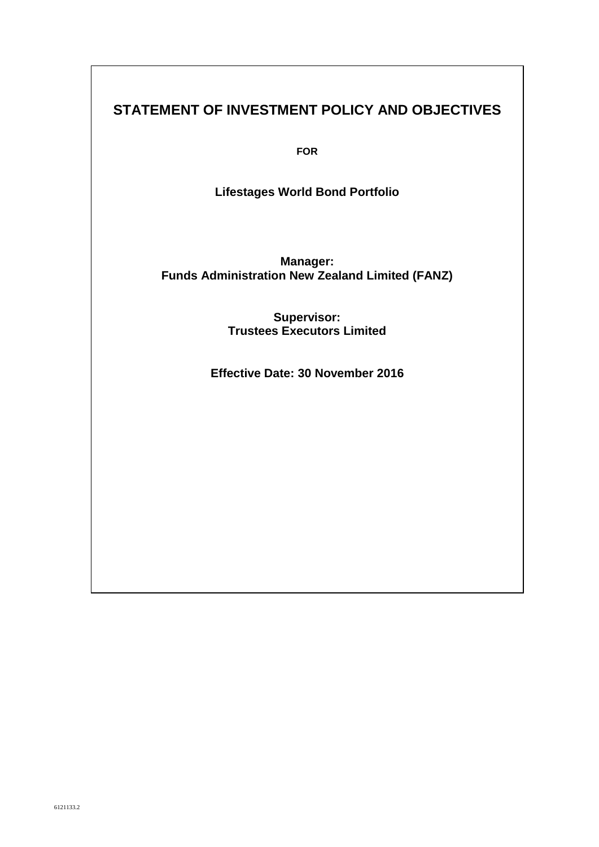# **STATEMENT OF INVESTMENT POLICY AND OBJECTIVES**

**FOR**

**Lifestages World Bond Portfolio** 

**Manager: Funds Administration New Zealand Limited (FANZ)**

> **Supervisor: Trustees Executors Limited**

**Effective Date: 30 November 2016**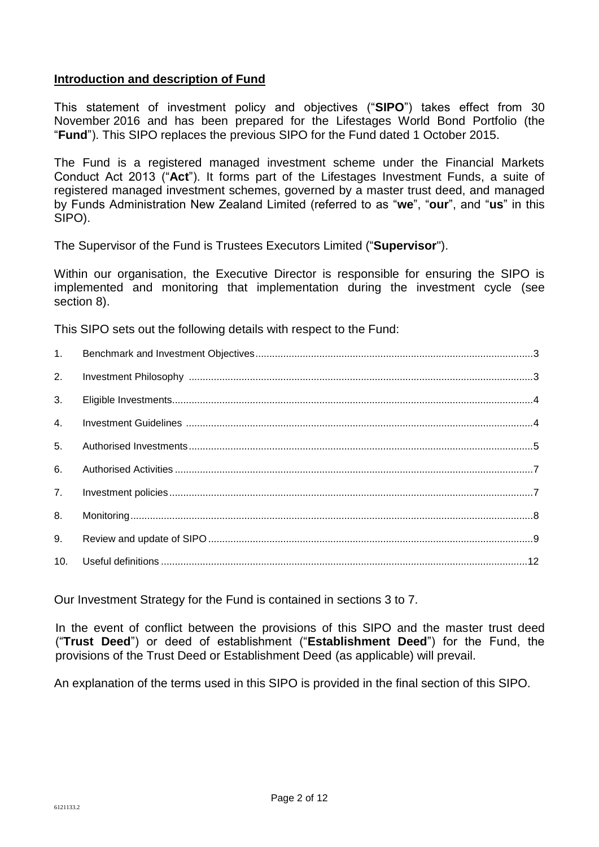## **Introduction and description of Fund**

This statement of investment policy and objectives ("**SIPO**") takes effect from 30 November 2016 and has been prepared for the Lifestages World Bond Portfolio (the "**Fund**"). This SIPO replaces the previous SIPO for the Fund dated 1 October 2015.

The Fund is a registered managed investment scheme under the Financial Markets Conduct Act 2013 ("**Act**"). It forms part of the Lifestages Investment Funds, a suite of registered managed investment schemes, governed by a master trust deed, and managed by Funds Administration New Zealand Limited (referred to as "**we**", "**our**", and "**us**" in this SIPO).

The Supervisor of the Fund is Trustees Executors Limited ("**Supervisor**").

Within our organisation, the Executive Director is responsible for ensuring the SIPO is implemented and monitoring that implementation during the investment cycle (see section 8).

This SIPO sets out the following details with respect to the Fund:

| 1.             |  |
|----------------|--|
| 2.             |  |
| 3.             |  |
| 4.             |  |
| 5 <sub>1</sub> |  |
| 6.             |  |
| 7.             |  |
| 8.             |  |
| 9.             |  |
| 10.            |  |

Our Investment Strategy for the Fund is contained in sections 3 to 7.

In the event of conflict between the provisions of this SIPO and the master trust deed ("**Trust Deed**") or deed of establishment ("**Establishment Deed**") for the Fund, the provisions of the Trust Deed or Establishment Deed (as applicable) will prevail.

An explanation of the terms used in this SIPO is provided in the final section of this SIPO.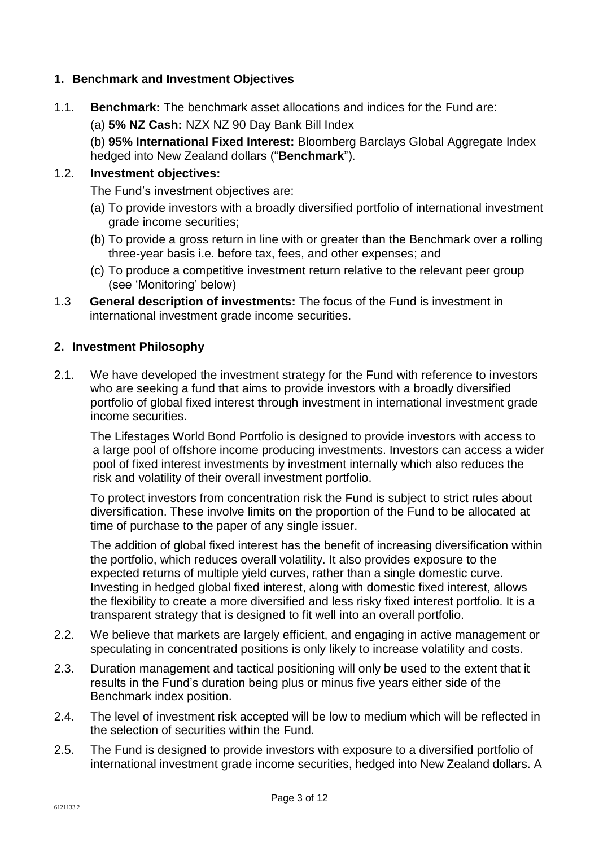## **1. Benchmark and Investment Objectives**

- 1.1. **Benchmark:** The benchmark asset allocations and indices for the Fund are:
	- (a) **5% NZ Cash:** NZX NZ 90 Day Bank Bill Index

(b) **95% International Fixed Interest:** Bloomberg Barclays Global Aggregate Index hedged into New Zealand dollars ("**Benchmark**").

# 1.2. **Investment objectives:**

The Fund's investment objectives are:

- (a) To provide investors with a broadly diversified portfolio of international investment grade income securities;
- (b) To provide a gross return in line with or greater than the Benchmark over a rolling three-year basis i.e. before tax, fees, and other expenses; and
- (c) To produce a competitive investment return relative to the relevant peer group (see 'Monitoring' below)
- 1.3 **General description of investments:** The focus of the Fund is investment in international investment grade income securities.

#### **2. Investment Philosophy**

2.1. We have developed the investment strategy for the Fund with reference to investors who are seeking a fund that aims to provide investors with a broadly diversified portfolio of global fixed interest through investment in international investment grade income securities.

The Lifestages World Bond Portfolio is designed to provide investors with access to a large pool of offshore income producing investments. Investors can access a wider pool of fixed interest investments by investment internally which also reduces the risk and volatility of their overall investment portfolio.

To protect investors from concentration risk the Fund is subject to strict rules about diversification. These involve limits on the proportion of the Fund to be allocated at time of purchase to the paper of any single issuer.

The addition of global fixed interest has the benefit of increasing diversification within the portfolio, which reduces overall volatility. It also provides exposure to the expected returns of multiple yield curves, rather than a single domestic curve. Investing in hedged global fixed interest, along with domestic fixed interest, allows the flexibility to create a more diversified and less risky fixed interest portfolio. It is a transparent strategy that is designed to fit well into an overall portfolio.

- 2.2. We believe that markets are largely efficient, and engaging in active management or speculating in concentrated positions is only likely to increase volatility and costs.
- 2.3. Duration management and tactical positioning will only be used to the extent that it results in the Fund's duration being plus or minus five years either side of the Benchmark index position.
- 2.4. The level of investment risk accepted will be low to medium which will be reflected in the selection of securities within the Fund.
- 2.5. The Fund is designed to provide investors with exposure to a diversified portfolio of international investment grade income securities, hedged into New Zealand dollars. A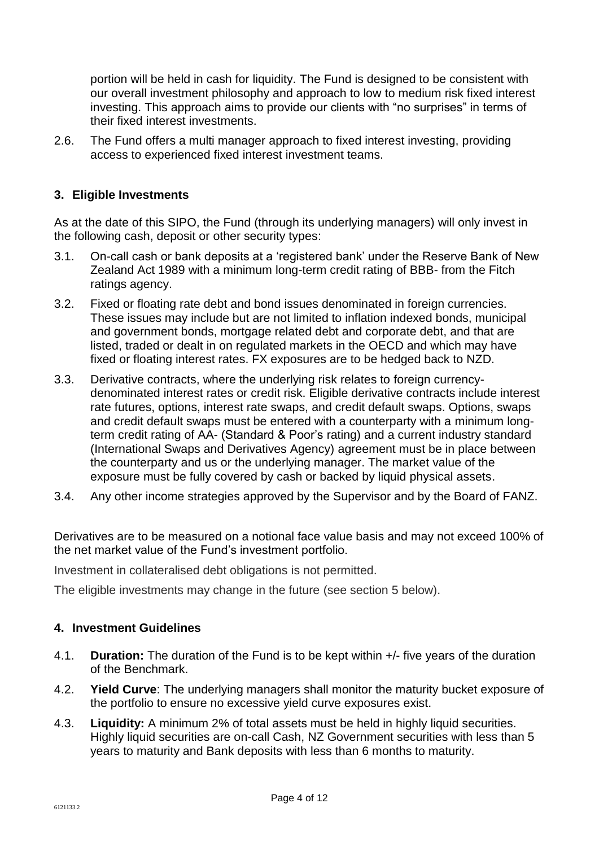portion will be held in cash for liquidity. The Fund is designed to be consistent with our overall investment philosophy and approach to low to medium risk fixed interest investing. This approach aims to provide our clients with "no surprises" in terms of their fixed interest investments.

2.6. The Fund offers a multi manager approach to fixed interest investing, providing access to experienced fixed interest investment teams.

# **3. Eligible Investments**

As at the date of this SIPO, the Fund (through its underlying managers) will only invest in the following cash, deposit or other security types:

- 3.1. On-call cash or bank deposits at a 'registered bank' under the Reserve Bank of New Zealand Act 1989 with a minimum long-term credit rating of BBB- from the Fitch ratings agency.
- 3.2. Fixed or floating rate debt and bond issues denominated in foreign currencies. These issues may include but are not limited to inflation indexed bonds, municipal and government bonds, mortgage related debt and corporate debt, and that are listed, traded or dealt in on regulated markets in the OECD and which may have fixed or floating interest rates. FX exposures are to be hedged back to NZD.
- 3.3. Derivative contracts, where the underlying risk relates to foreign currencydenominated interest rates or credit risk. Eligible derivative contracts include interest rate futures, options, interest rate swaps, and credit default swaps. Options, swaps and credit default swaps must be entered with a counterparty with a minimum longterm credit rating of AA- (Standard & Poor's rating) and a current industry standard (International Swaps and Derivatives Agency) agreement must be in place between the counterparty and us or the underlying manager. The market value of the exposure must be fully covered by cash or backed by liquid physical assets.
- 3.4. Any other income strategies approved by the Supervisor and by the Board of FANZ.

Derivatives are to be measured on a notional face value basis and may not exceed 100% of the net market value of the Fund's investment portfolio.

Investment in collateralised debt obligations is not permitted.

The eligible investments may change in the future (see section 5 below).

## **4. Investment Guidelines**

- 4.1. **Duration:** The duration of the Fund is to be kept within +/- five years of the duration of the Benchmark.
- 4.2. **Yield Curve**: The underlying managers shall monitor the maturity bucket exposure of the portfolio to ensure no excessive yield curve exposures exist.
- 4.3. **Liquidity:** A minimum 2% of total assets must be held in highly liquid securities. Highly liquid securities are on-call Cash, NZ Government securities with less than 5 years to maturity and Bank deposits with less than 6 months to maturity.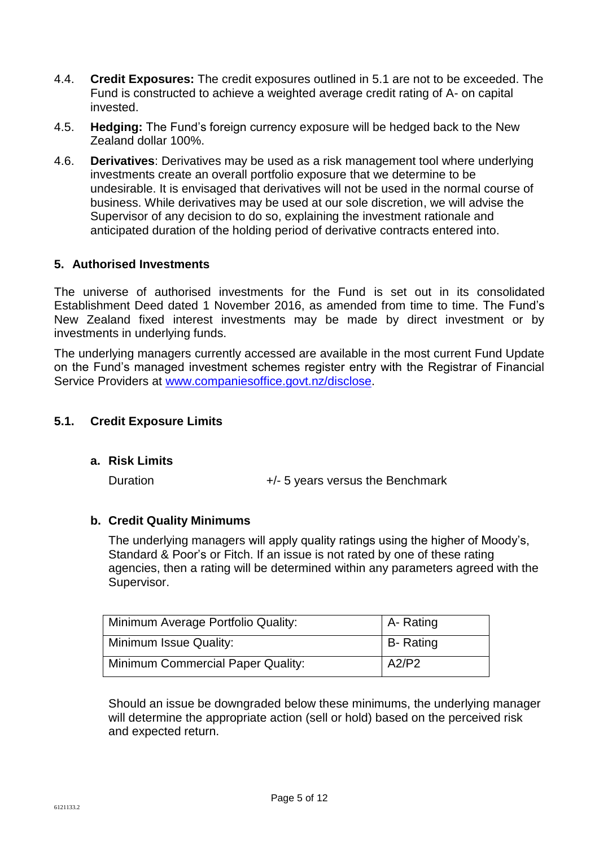- 4.4. **Credit Exposures:** The credit exposures outlined in 5.1 are not to be exceeded. The Fund is constructed to achieve a weighted average credit rating of A- on capital invested.
- 4.5. **Hedging:** The Fund's foreign currency exposure will be hedged back to the New Zealand dollar 100%.
- 4.6. **Derivatives**: Derivatives may be used as a risk management tool where underlying investments create an overall portfolio exposure that we determine to be undesirable. It is envisaged that derivatives will not be used in the normal course of business. While derivatives may be used at our sole discretion, we will advise the Supervisor of any decision to do so, explaining the investment rationale and anticipated duration of the holding period of derivative contracts entered into.

## **5. Authorised Investments**

The universe of authorised investments for the Fund is set out in its consolidated Establishment Deed dated 1 November 2016, as amended from time to time. The Fund's New Zealand fixed interest investments may be made by direct investment or by investments in underlying funds.

The underlying managers currently accessed are available in the most current Fund Update on the Fund's managed investment schemes register entry with the Registrar of Financial Service Providers at [www.companiesoffice.govt.nz/disclose.](http://www.companiesoffice.govt.nz/disclose)

## **5.1. Credit Exposure Limits**

**a. Risk Limits**

Duration  $+/- 5$  years versus the Benchmark

## **b. Credit Quality Minimums**

The underlying managers will apply quality ratings using the higher of Moody's, Standard & Poor's or Fitch. If an issue is not rated by one of these rating agencies, then a rating will be determined within any parameters agreed with the Supervisor.

| Minimum Average Portfolio Quality:       | A- Rating        |
|------------------------------------------|------------------|
| Minimum Issue Quality:                   | <b>B-</b> Rating |
| <b>Minimum Commercial Paper Quality:</b> | A2/P2            |

Should an issue be downgraded below these minimums, the underlying manager will determine the appropriate action (sell or hold) based on the perceived risk and expected return.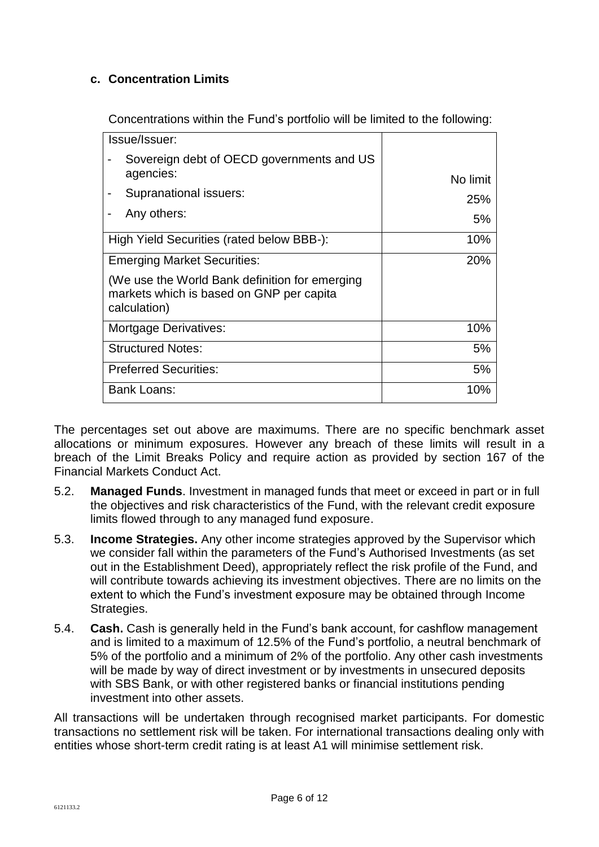# **c. Concentration Limits**

Concentrations within the Fund's portfolio will be limited to the following:

| Issue/Issuer:                                                                                              |            |
|------------------------------------------------------------------------------------------------------------|------------|
| Sovereign debt of OECD governments and US<br>agencies:                                                     | No limit   |
| Supranational issuers:                                                                                     | 25%        |
| Any others:                                                                                                | 5%         |
| High Yield Securities (rated below BBB-):                                                                  | 10%        |
| <b>Emerging Market Securities:</b>                                                                         | <b>20%</b> |
| (We use the World Bank definition for emerging<br>markets which is based on GNP per capita<br>calculation) |            |
| <b>Mortgage Derivatives:</b>                                                                               | 10%        |
| <b>Structured Notes:</b>                                                                                   | 5%         |
| <b>Preferred Securities:</b>                                                                               | 5%         |
| Bank Loans:                                                                                                | 10%        |

The percentages set out above are maximums. There are no specific benchmark asset allocations or minimum exposures. However any breach of these limits will result in a breach of the Limit Breaks Policy and require action as provided by section 167 of the Financial Markets Conduct Act.

- 5.2. **Managed Funds**. Investment in managed funds that meet or exceed in part or in full the objectives and risk characteristics of the Fund, with the relevant credit exposure limits flowed through to any managed fund exposure.
- 5.3. **Income Strategies.** Any other income strategies approved by the Supervisor which we consider fall within the parameters of the Fund's Authorised Investments (as set out in the Establishment Deed), appropriately reflect the risk profile of the Fund, and will contribute towards achieving its investment objectives. There are no limits on the extent to which the Fund's investment exposure may be obtained through Income Strategies.
- 5.4. **Cash.** Cash is generally held in the Fund's bank account, for cashflow management and is limited to a maximum of 12.5% of the Fund's portfolio, a neutral benchmark of 5% of the portfolio and a minimum of 2% of the portfolio. Any other cash investments will be made by way of direct investment or by investments in unsecured deposits with SBS Bank, or with other registered banks or financial institutions pending investment into other assets.

All transactions will be undertaken through recognised market participants. For domestic transactions no settlement risk will be taken. For international transactions dealing only with entities whose short-term credit rating is at least A1 will minimise settlement risk.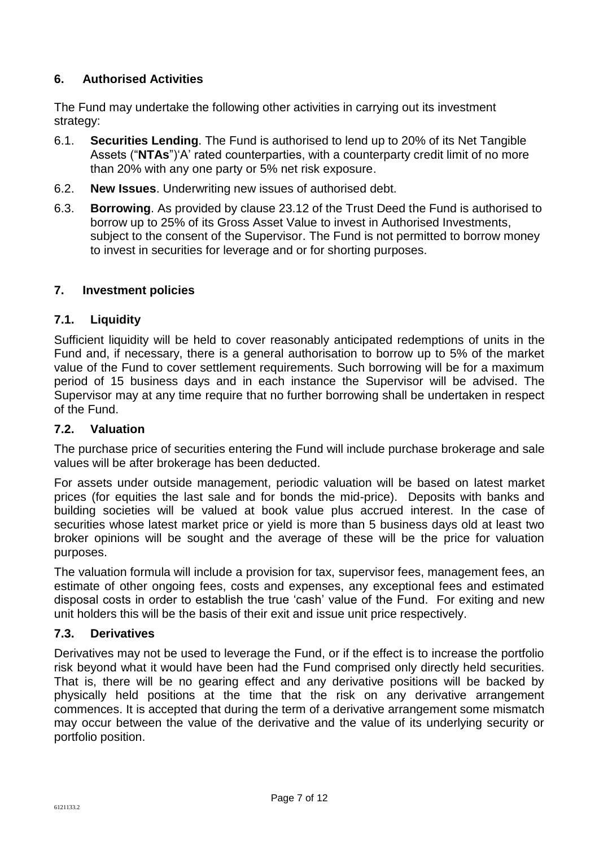# **6. Authorised Activities**

The Fund may undertake the following other activities in carrying out its investment strategy:

- 6.1. **Securities Lending**. The Fund is authorised to lend up to 20% of its Net Tangible Assets ("**NTAs**")'A' rated counterparties, with a counterparty credit limit of no more than 20% with any one party or 5% net risk exposure.
- 6.2. **New Issues**. Underwriting new issues of authorised debt.
- 6.3. **Borrowing**. As provided by clause 23.12 of the Trust Deed the Fund is authorised to borrow up to 25% of its Gross Asset Value to invest in Authorised Investments, subject to the consent of the Supervisor. The Fund is not permitted to borrow money to invest in securities for leverage and or for shorting purposes.

## **7. Investment policies**

## **7.1. Liquidity**

Sufficient liquidity will be held to cover reasonably anticipated redemptions of units in the Fund and, if necessary, there is a general authorisation to borrow up to 5% of the market value of the Fund to cover settlement requirements. Such borrowing will be for a maximum period of 15 business days and in each instance the Supervisor will be advised. The Supervisor may at any time require that no further borrowing shall be undertaken in respect of the Fund.

## **7.2. Valuation**

The purchase price of securities entering the Fund will include purchase brokerage and sale values will be after brokerage has been deducted.

For assets under outside management, periodic valuation will be based on latest market prices (for equities the last sale and for bonds the mid-price). Deposits with banks and building societies will be valued at book value plus accrued interest. In the case of securities whose latest market price or yield is more than 5 business days old at least two broker opinions will be sought and the average of these will be the price for valuation purposes.

The valuation formula will include a provision for tax, supervisor fees, management fees, an estimate of other ongoing fees, costs and expenses, any exceptional fees and estimated disposal costs in order to establish the true 'cash' value of the Fund. For exiting and new unit holders this will be the basis of their exit and issue unit price respectively.

## **7.3. Derivatives**

Derivatives may not be used to leverage the Fund, or if the effect is to increase the portfolio risk beyond what it would have been had the Fund comprised only directly held securities. That is, there will be no gearing effect and any derivative positions will be backed by physically held positions at the time that the risk on any derivative arrangement commences. It is accepted that during the term of a derivative arrangement some mismatch may occur between the value of the derivative and the value of its underlying security or portfolio position.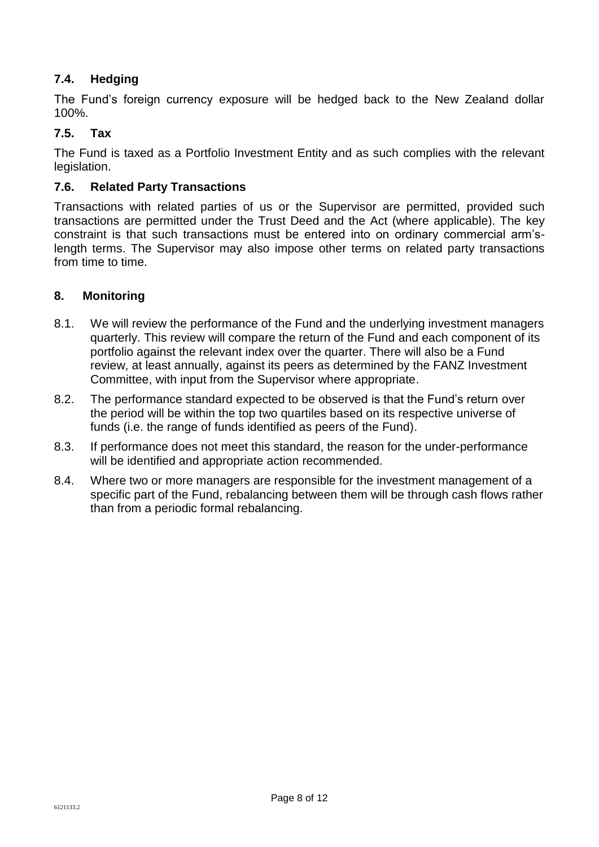# **7.4. Hedging**

The Fund's foreign currency exposure will be hedged back to the New Zealand dollar 100%.

## **7.5. Tax**

The Fund is taxed as a Portfolio Investment Entity and as such complies with the relevant legislation.

## **7.6. Related Party Transactions**

Transactions with related parties of us or the Supervisor are permitted, provided such transactions are permitted under the Trust Deed and the Act (where applicable). The key constraint is that such transactions must be entered into on ordinary commercial arm'slength terms. The Supervisor may also impose other terms on related party transactions from time to time.

## **8. Monitoring**

- 8.1. We will review the performance of the Fund and the underlying investment managers quarterly. This review will compare the return of the Fund and each component of its portfolio against the relevant index over the quarter. There will also be a Fund review, at least annually, against its peers as determined by the FANZ Investment Committee, with input from the Supervisor where appropriate.
- 8.2. The performance standard expected to be observed is that the Fund's return over the period will be within the top two quartiles based on its respective universe of funds (i.e. the range of funds identified as peers of the Fund).
- 8.3. If performance does not meet this standard, the reason for the under-performance will be identified and appropriate action recommended.
- 8.4. Where two or more managers are responsible for the investment management of a specific part of the Fund, rebalancing between them will be through cash flows rather than from a periodic formal rebalancing.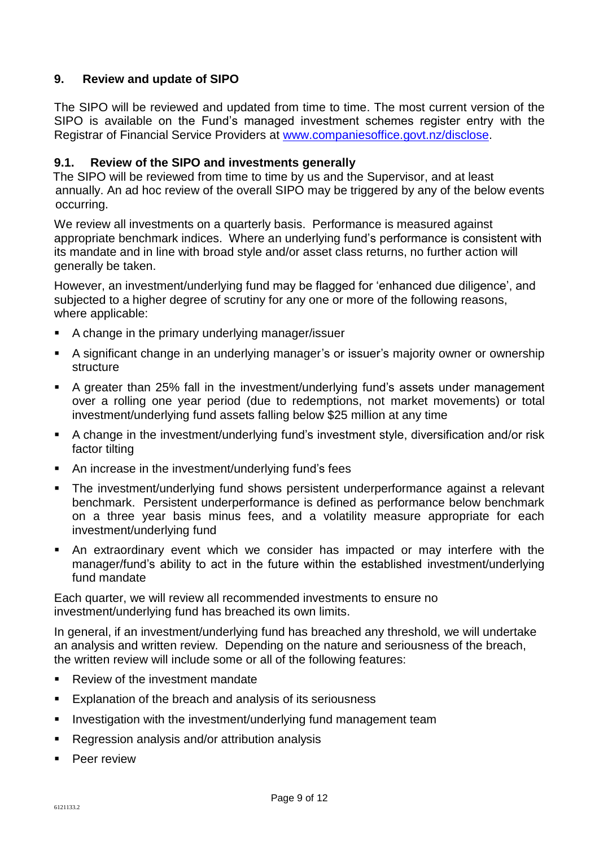# **9. Review and update of SIPO**

The SIPO will be reviewed and updated from time to time. The most current version of the SIPO is available on the Fund's managed investment schemes register entry with the Registrar of Financial Service Providers at [www.companiesoffice.govt.nz/disclose.](www.companiesoffice.govt.nz/disclose)

## **9.1. Review of the SIPO and investments generally**

The SIPO will be reviewed from time to time by us and the Supervisor, and at least annually. An ad hoc review of the overall SIPO may be triggered by any of the below events occurring.

We review all investments on a quarterly basis. Performance is measured against appropriate benchmark indices. Where an underlying fund's performance is consistent with its mandate and in line with broad style and/or asset class returns, no further action will generally be taken.

However, an investment/underlying fund may be flagged for 'enhanced due diligence', and subjected to a higher degree of scrutiny for any one or more of the following reasons, where applicable:

- A change in the primary underlying manager/issuer
- A significant change in an underlying manager's or issuer's majority owner or ownership structure
- A greater than 25% fall in the investment/underlying fund's assets under management over a rolling one year period (due to redemptions, not market movements) or total investment/underlying fund assets falling below \$25 million at any time
- A change in the investment/underlying fund's investment style, diversification and/or risk factor tilting
- An increase in the investment/underlying fund's fees
- The investment/underlying fund shows persistent underperformance against a relevant benchmark. Persistent underperformance is defined as performance below benchmark on a three year basis minus fees, and a volatility measure appropriate for each investment/underlying fund
- An extraordinary event which we consider has impacted or may interfere with the manager/fund's ability to act in the future within the established investment/underlying fund mandate

Each quarter, we will review all recommended investments to ensure no investment/underlying fund has breached its own limits.

In general, if an investment/underlying fund has breached any threshold, we will undertake an analysis and written review. Depending on the nature and seriousness of the breach, the written review will include some or all of the following features:

- Review of the investment mandate
- **Explanation of the breach and analysis of its seriousness**
- **I.** Investigation with the investment/underlying fund management team
- Regression analysis and/or attribution analysis
- Peer review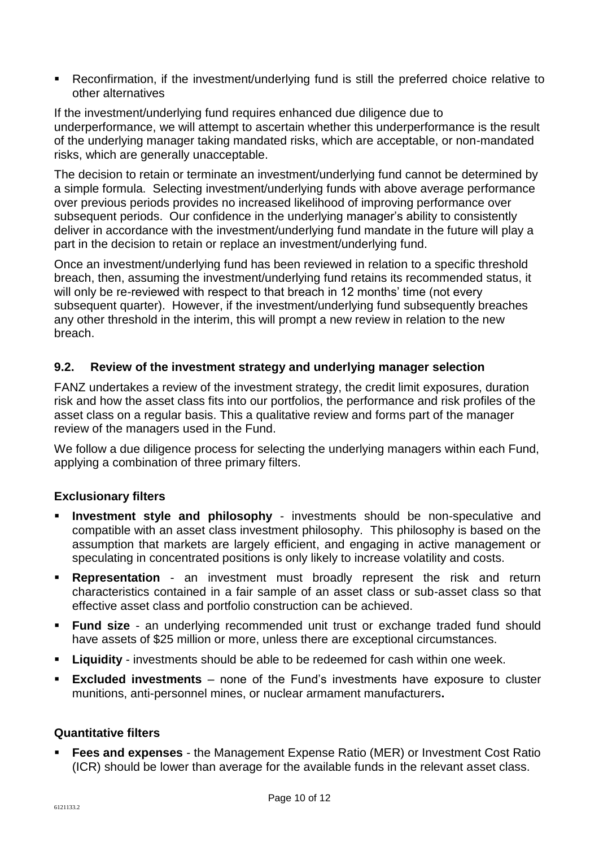Reconfirmation, if the investment/underlying fund is still the preferred choice relative to other alternatives

If the investment/underlying fund requires enhanced due diligence due to underperformance, we will attempt to ascertain whether this underperformance is the result of the underlying manager taking mandated risks, which are acceptable, or non-mandated risks, which are generally unacceptable.

The decision to retain or terminate an investment/underlying fund cannot be determined by a simple formula. Selecting investment/underlying funds with above average performance over previous periods provides no increased likelihood of improving performance over subsequent periods. Our confidence in the underlying manager's ability to consistently deliver in accordance with the investment/underlying fund mandate in the future will play a part in the decision to retain or replace an investment/underlying fund.

Once an investment/underlying fund has been reviewed in relation to a specific threshold breach, then, assuming the investment/underlying fund retains its recommended status, it will only be re-reviewed with respect to that breach in 12 months' time (not every subsequent quarter). However, if the investment/underlying fund subsequently breaches any other threshold in the interim, this will prompt a new review in relation to the new breach.

## **9.2. Review of the investment strategy and underlying manager selection**

FANZ undertakes a review of the investment strategy, the credit limit exposures, duration risk and how the asset class fits into our portfolios, the performance and risk profiles of the asset class on a regular basis. This a qualitative review and forms part of the manager review of the managers used in the Fund.

We follow a due diligence process for selecting the underlying managers within each Fund, applying a combination of three primary filters.

# **Exclusionary filters**

- **Investment style and philosophy** investments should be non-speculative and compatible with an asset class investment philosophy. This philosophy is based on the assumption that markets are largely efficient, and engaging in active management or speculating in concentrated positions is only likely to increase volatility and costs.
- **Representation**  an investment must broadly represent the risk and return characteristics contained in a fair sample of an asset class or sub-asset class so that effective asset class and portfolio construction can be achieved.
- **Fund size**  an underlying recommended unit trust or exchange traded fund should have assets of \$25 million or more, unless there are exceptional circumstances.
- **Liquidity**  investments should be able to be redeemed for cash within one week.
- **Excluded investments**  none of the Fund's investments have exposure to cluster munitions, anti-personnel mines, or nuclear armament manufacturers**.**

## **Quantitative filters**

 **Fees and expenses** - the Management Expense Ratio (MER) or Investment Cost Ratio (ICR) should be lower than average for the available funds in the relevant asset class.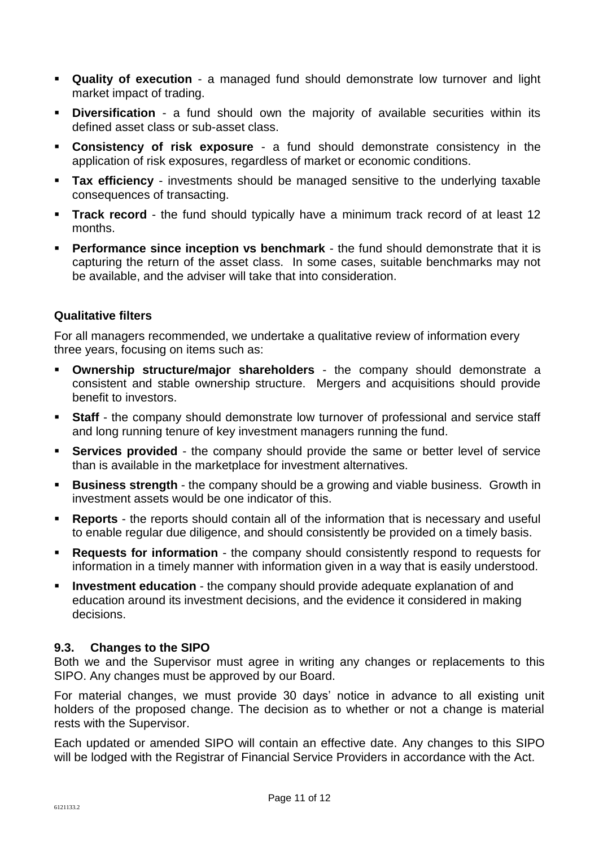- **Quality of execution** a managed fund should demonstrate low turnover and light market impact of trading.
- **Diversification** a fund should own the majority of available securities within its defined asset class or sub-asset class.
- **Consistency of risk exposure** a fund should demonstrate consistency in the application of risk exposures, regardless of market or economic conditions.
- **Tax efficiency** investments should be managed sensitive to the underlying taxable consequences of transacting.
- **Track record** the fund should typically have a minimum track record of at least 12 months.
- **Performance since inception vs benchmark** the fund should demonstrate that it is capturing the return of the asset class. In some cases, suitable benchmarks may not be available, and the adviser will take that into consideration.

## **Qualitative filters**

For all managers recommended, we undertake a qualitative review of information every three years, focusing on items such as:

- **Ownership structure/major shareholders** the company should demonstrate a consistent and stable ownership structure. Mergers and acquisitions should provide benefit to investors.
- **Staff** the company should demonstrate low turnover of professional and service staff and long running tenure of key investment managers running the fund.
- **Services provided** the company should provide the same or better level of service than is available in the marketplace for investment alternatives.
- **Business strength** the company should be a growing and viable business. Growth in investment assets would be one indicator of this.
- **Reports**  the reports should contain all of the information that is necessary and useful to enable regular due diligence, and should consistently be provided on a timely basis.
- **Requests for information** the company should consistently respond to requests for information in a timely manner with information given in a way that is easily understood.
- **Investment education** the company should provide adequate explanation of and education around its investment decisions, and the evidence it considered in making decisions.

## **9.3. Changes to the SIPO**

Both we and the Supervisor must agree in writing any changes or replacements to this SIPO. Any changes must be approved by our Board.

For material changes, we must provide 30 days' notice in advance to all existing unit holders of the proposed change. The decision as to whether or not a change is material rests with the Supervisor.

Each updated or amended SIPO will contain an effective date. Any changes to this SIPO will be lodged with the Registrar of Financial Service Providers in accordance with the Act.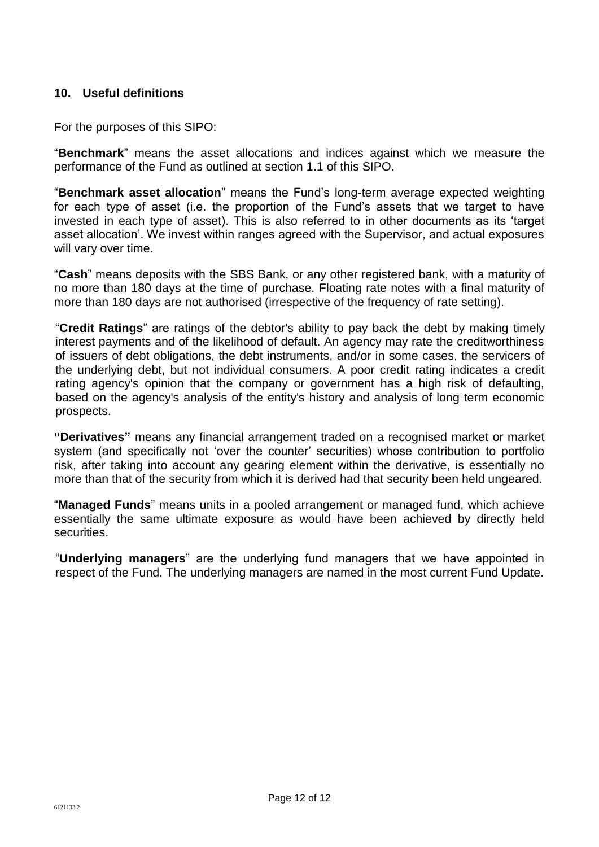## **10. Useful definitions**

For the purposes of this SIPO:

"**Benchmark**" means the asset allocations and indices against which we measure the performance of the Fund as outlined at section 1.1 of this SIPO.

"**Benchmark asset allocation**" means the Fund's long-term average expected weighting for each type of asset (i.e. the proportion of the Fund's assets that we target to have invested in each type of asset). This is also referred to in other documents as its 'target asset allocation'. We invest within ranges agreed with the Supervisor, and actual exposures will vary over time.

"**Cash**" means deposits with the SBS Bank, or any other registered bank, with a maturity of no more than 180 days at the time of purchase. Floating rate notes with a final maturity of more than 180 days are not authorised (irrespective of the frequency of rate setting).

"**Credit Ratings**" are ratings of the debtor's ability to pay back the debt by making timely interest payments and of the likelihood of default. An agency may rate the creditworthiness of issuers of debt obligations, the debt instruments, and/or in some cases, the servicers of the underlying debt, but not individual consumers. A poor credit rating indicates a credit rating agency's opinion that the company or government has a high risk of defaulting, based on the agency's analysis of the entity's history and analysis of long term economic prospects.

**"Derivatives"** means any financial arrangement traded on a recognised market or market system (and specifically not 'over the counter' securities) whose contribution to portfolio risk, after taking into account any gearing element within the derivative, is essentially no more than that of the security from which it is derived had that security been held ungeared.

"**Managed Funds**" means units in a pooled arrangement or managed fund, which achieve essentially the same ultimate exposure as would have been achieved by directly held securities.

"**Underlying managers**" are the underlying fund managers that we have appointed in respect of the Fund. The underlying managers are named in the most current Fund Update.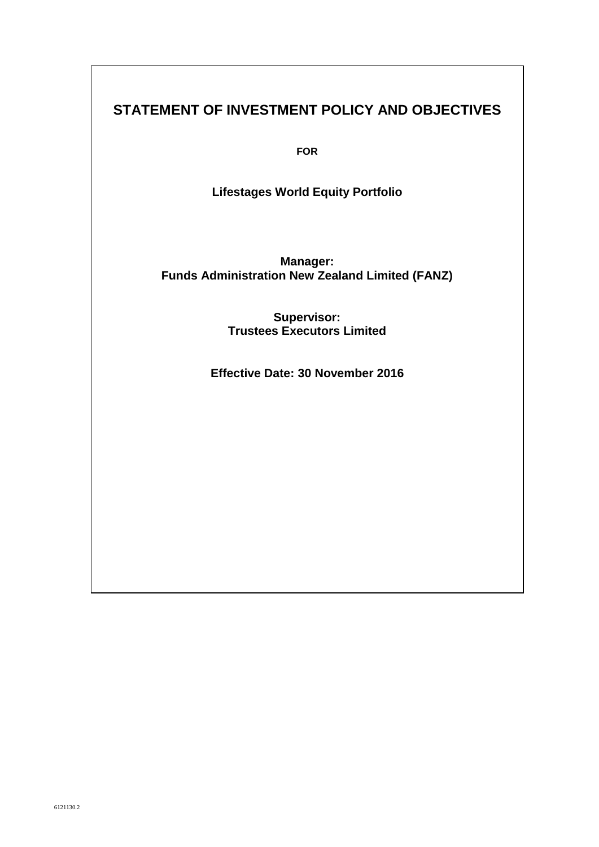# **STATEMENT OF INVESTMENT POLICY AND OBJECTIVES**

**FOR**

**Lifestages World Equity Portfolio** 

**Manager: Funds Administration New Zealand Limited (FANZ)**

> **Supervisor: Trustees Executors Limited**

**Effective Date: 30 November 2016**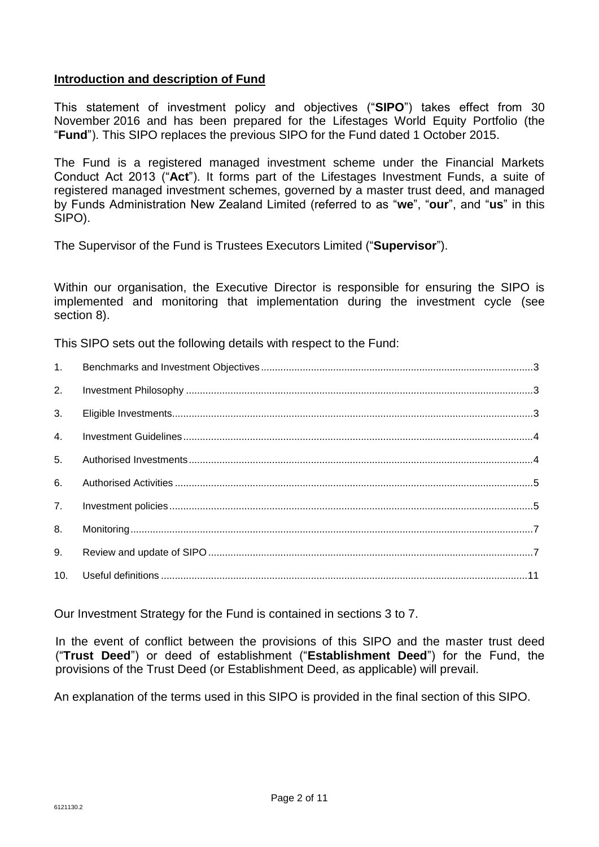## **Introduction and description of Fund**

This statement of investment policy and objectives ("**SIPO**") takes effect from 30 November 2016 and has been prepared for the Lifestages World Equity Portfolio (the "**Fund**"). This SIPO replaces the previous SIPO for the Fund dated 1 October 2015.

The Fund is a registered managed investment scheme under the Financial Markets Conduct Act 2013 ("**Act**"). It forms part of the Lifestages Investment Funds, a suite of registered managed investment schemes, governed by a master trust deed, and managed by Funds Administration New Zealand Limited (referred to as "**we**", "**our**", and "**us**" in this SIPO).

The Supervisor of the Fund is Trustees Executors Limited ("**Supervisor**").

Within our organisation, the Executive Director is responsible for ensuring the SIPO is implemented and monitoring that implementation during the investment cycle (see section 8).

This SIPO sets out the following details with respect to the Fund:

| 1.             |  |
|----------------|--|
| 2.             |  |
| 3.             |  |
| 4.             |  |
| 5 <sub>1</sub> |  |
| 6.             |  |
| 7.             |  |
| 8.             |  |
| 9.             |  |
| 10.            |  |

Our Investment Strategy for the Fund is contained in sections 3 to 7.

In the event of conflict between the provisions of this SIPO and the master trust deed ("**Trust Deed**") or deed of establishment ("**Establishment Deed**") for the Fund, the provisions of the Trust Deed (or Establishment Deed, as applicable) will prevail.

An explanation of the terms used in this SIPO is provided in the final section of this SIPO.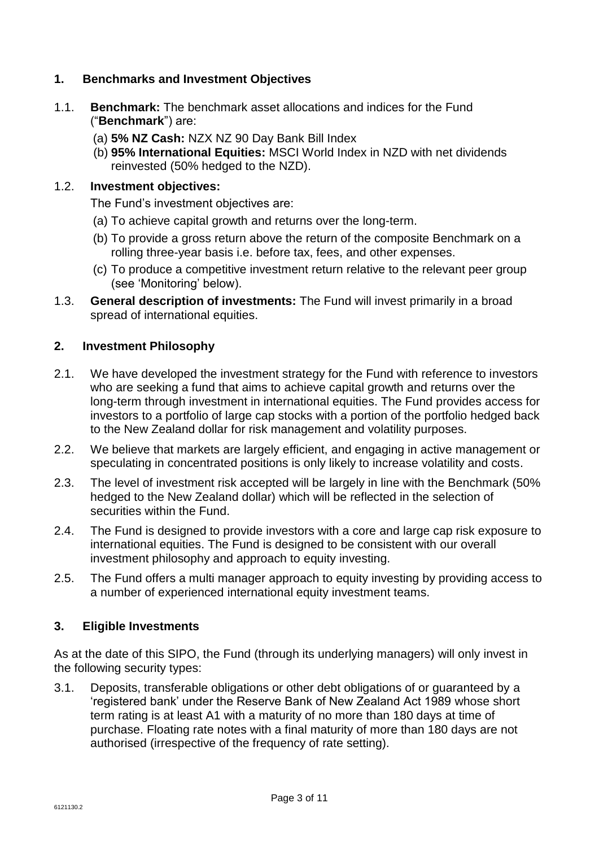# **1. Benchmarks and Investment Objectives**

- 1.1. **Benchmark:** The benchmark asset allocations and indices for the Fund ("**Benchmark**") are:
	- (a) **5% NZ Cash:** NZX NZ 90 Day Bank Bill Index
	- (b) **95% International Equities:** MSCI World Index in NZD with net dividends reinvested (50% hedged to the NZD).

#### 1.2. **Investment objectives:**

The Fund's investment objectives are:

- (a) To achieve capital growth and returns over the long-term.
- (b) To provide a gross return above the return of the composite Benchmark on a rolling three-year basis i.e. before tax, fees, and other expenses.
- (c) To produce a competitive investment return relative to the relevant peer group (see 'Monitoring' below).
- 1.3. **General description of investments:** The Fund will invest primarily in a broad spread of international equities.

#### **2. Investment Philosophy**

- 2.1. We have developed the investment strategy for the Fund with reference to investors who are seeking a fund that aims to achieve capital growth and returns over the long-term through investment in international equities. The Fund provides access for investors to a portfolio of large cap stocks with a portion of the portfolio hedged back to the New Zealand dollar for risk management and volatility purposes.
- 2.2. We believe that markets are largely efficient, and engaging in active management or speculating in concentrated positions is only likely to increase volatility and costs.
- 2.3. The level of investment risk accepted will be largely in line with the Benchmark (50% hedged to the New Zealand dollar) which will be reflected in the selection of securities within the Fund.
- 2.4. The Fund is designed to provide investors with a core and large cap risk exposure to international equities. The Fund is designed to be consistent with our overall investment philosophy and approach to equity investing.
- 2.5. The Fund offers a multi manager approach to equity investing by providing access to a number of experienced international equity investment teams.

## **3. Eligible Investments**

As at the date of this SIPO, the Fund (through its underlying managers) will only invest in the following security types:

3.1. Deposits, transferable obligations or other debt obligations of or guaranteed by a 'registered bank' under the Reserve Bank of New Zealand Act 1989 whose short term rating is at least A1 with a maturity of no more than 180 days at time of purchase. Floating rate notes with a final maturity of more than 180 days are not authorised (irrespective of the frequency of rate setting).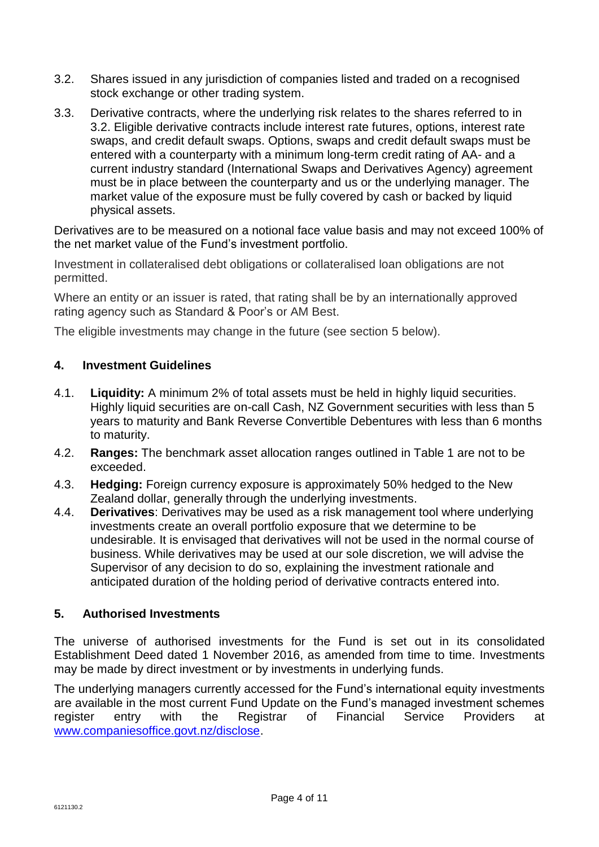- 3.2. Shares issued in any jurisdiction of companies listed and traded on a recognised stock exchange or other trading system.
- 3.3. Derivative contracts, where the underlying risk relates to the shares referred to in 3.2. Eligible derivative contracts include interest rate futures, options, interest rate swaps, and credit default swaps. Options, swaps and credit default swaps must be entered with a counterparty with a minimum long-term credit rating of AA- and a current industry standard (International Swaps and Derivatives Agency) agreement must be in place between the counterparty and us or the underlying manager. The market value of the exposure must be fully covered by cash or backed by liquid physical assets.

Derivatives are to be measured on a notional face value basis and may not exceed 100% of the net market value of the Fund's investment portfolio.

Investment in collateralised debt obligations or collateralised loan obligations are not permitted.

Where an entity or an issuer is rated, that rating shall be by an internationally approved rating agency such as Standard & Poor's or AM Best.

The eligible investments may change in the future (see section 5 below).

## **4. Investment Guidelines**

- 4.1. **Liquidity:** A minimum 2% of total assets must be held in highly liquid securities. Highly liquid securities are on-call Cash, NZ Government securities with less than 5 years to maturity and Bank Reverse Convertible Debentures with less than 6 months to maturity.
- 4.2. **Ranges:** The benchmark asset allocation ranges outlined in Table 1 are not to be exceeded.
- 4.3. **Hedging:** Foreign currency exposure is approximately 50% hedged to the New Zealand dollar, generally through the underlying investments.
- 4.4. **Derivatives**: Derivatives may be used as a risk management tool where underlying investments create an overall portfolio exposure that we determine to be undesirable. It is envisaged that derivatives will not be used in the normal course of business. While derivatives may be used at our sole discretion, we will advise the Supervisor of any decision to do so, explaining the investment rationale and anticipated duration of the holding period of derivative contracts entered into.

## **5. Authorised Investments**

The universe of authorised investments for the Fund is set out in its consolidated Establishment Deed dated 1 November 2016, as amended from time to time. Investments may be made by direct investment or by investments in underlying funds.

The underlying managers currently accessed for the Fund's international equity investments are available in the most current Fund Update on the Fund's managed investment schemes register entry with the Registrar of Financial Service Providers at [www.companiesoffice.govt.nz/disclose.](http://www.companiesoffice.govt.nz/disclose)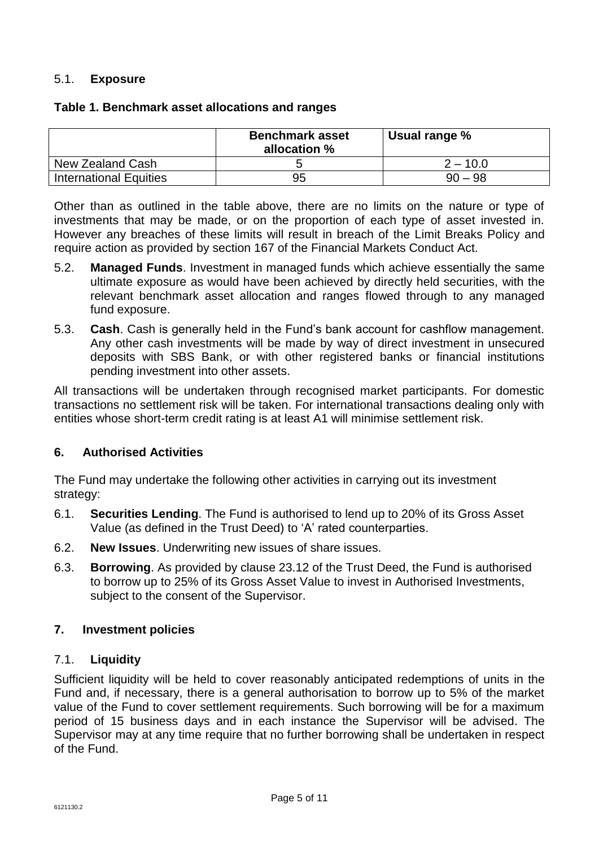## 5.1. **Exposure**

#### **Table 1. Benchmark asset allocations and ranges**

|                               | <b>Benchmark asset</b><br>allocation % | Usual range % |
|-------------------------------|----------------------------------------|---------------|
| New Zealand Cash              |                                        | $2 - 10.0$    |
| <b>International Equities</b> | 95                                     | $90 - 98$     |

Other than as outlined in the table above, there are no limits on the nature or type of investments that may be made, or on the proportion of each type of asset invested in. However any breaches of these limits will result in breach of the Limit Breaks Policy and require action as provided by section 167 of the Financial Markets Conduct Act.

- 5.2. **Managed Funds**. Investment in managed funds which achieve essentially the same ultimate exposure as would have been achieved by directly held securities, with the relevant benchmark asset allocation and ranges flowed through to any managed fund exposure.
- 5.3. **Cash**. Cash is generally held in the Fund's bank account for cashflow management. Any other cash investments will be made by way of direct investment in unsecured deposits with SBS Bank, or with other registered banks or financial institutions pending investment into other assets.

All transactions will be undertaken through recognised market participants. For domestic transactions no settlement risk will be taken. For international transactions dealing only with entities whose short-term credit rating is at least A1 will minimise settlement risk.

#### **6. Authorised Activities**

The Fund may undertake the following other activities in carrying out its investment strategy:

- 6.1. **Securities Lending**. The Fund is authorised to lend up to 20% of its Gross Asset Value (as defined in the Trust Deed) to 'A' rated counterparties.
- 6.2. **New Issues**. Underwriting new issues of share issues.
- 6.3. **Borrowing**. As provided by clause 23.12 of the Trust Deed, the Fund is authorised to borrow up to 25% of its Gross Asset Value to invest in Authorised Investments, subject to the consent of the Supervisor.

## **7. Investment policies**

## 7.1. **Liquidity**

Sufficient liquidity will be held to cover reasonably anticipated redemptions of units in the Fund and, if necessary, there is a general authorisation to borrow up to 5% of the market value of the Fund to cover settlement requirements. Such borrowing will be for a maximum period of 15 business days and in each instance the Supervisor will be advised. The Supervisor may at any time require that no further borrowing shall be undertaken in respect of the Fund.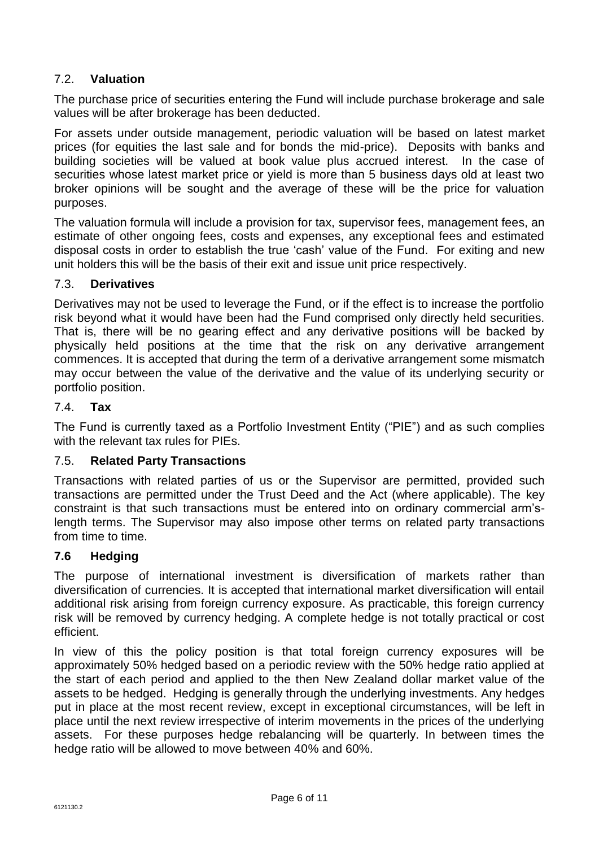# 7.2. **Valuation**

The purchase price of securities entering the Fund will include purchase brokerage and sale values will be after brokerage has been deducted.

For assets under outside management, periodic valuation will be based on latest market prices (for equities the last sale and for bonds the mid-price). Deposits with banks and building societies will be valued at book value plus accrued interest. In the case of securities whose latest market price or yield is more than 5 business days old at least two broker opinions will be sought and the average of these will be the price for valuation purposes.

The valuation formula will include a provision for tax, supervisor fees, management fees, an estimate of other ongoing fees, costs and expenses, any exceptional fees and estimated disposal costs in order to establish the true 'cash' value of the Fund. For exiting and new unit holders this will be the basis of their exit and issue unit price respectively.

## 7.3. **Derivatives**

Derivatives may not be used to leverage the Fund, or if the effect is to increase the portfolio risk beyond what it would have been had the Fund comprised only directly held securities. That is, there will be no gearing effect and any derivative positions will be backed by physically held positions at the time that the risk on any derivative arrangement commences. It is accepted that during the term of a derivative arrangement some mismatch may occur between the value of the derivative and the value of its underlying security or portfolio position.

#### 7.4. **Tax**

The Fund is currently taxed as a Portfolio Investment Entity ("PIE") and as such complies with the relevant tax rules for PIEs.

## 7.5. **Related Party Transactions**

Transactions with related parties of us or the Supervisor are permitted, provided such transactions are permitted under the Trust Deed and the Act (where applicable). The key constraint is that such transactions must be entered into on ordinary commercial arm'slength terms. The Supervisor may also impose other terms on related party transactions from time to time.

## **7.6 Hedging**

The purpose of international investment is diversification of markets rather than diversification of currencies. It is accepted that international market diversification will entail additional risk arising from foreign currency exposure. As practicable, this foreign currency risk will be removed by currency hedging. A complete hedge is not totally practical or cost efficient.

In view of this the policy position is that total foreign currency exposures will be approximately 50% hedged based on a periodic review with the 50% hedge ratio applied at the start of each period and applied to the then New Zealand dollar market value of the assets to be hedged. Hedging is generally through the underlying investments. Any hedges put in place at the most recent review, except in exceptional circumstances, will be left in place until the next review irrespective of interim movements in the prices of the underlying assets. For these purposes hedge rebalancing will be quarterly. In between times the hedge ratio will be allowed to move between 40% and 60%.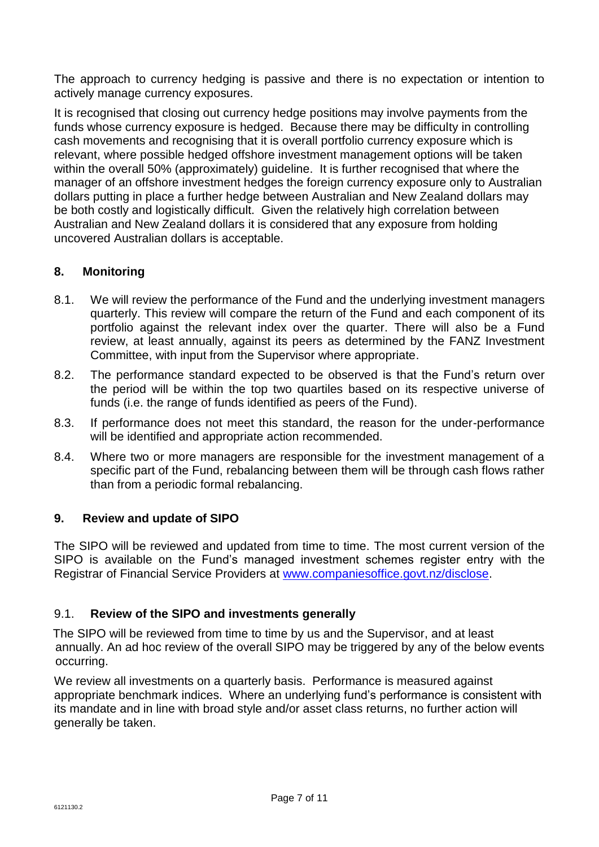The approach to currency hedging is passive and there is no expectation or intention to actively manage currency exposures.

It is recognised that closing out currency hedge positions may involve payments from the funds whose currency exposure is hedged. Because there may be difficulty in controlling cash movements and recognising that it is overall portfolio currency exposure which is relevant, where possible hedged offshore investment management options will be taken within the overall 50% (approximately) guideline. It is further recognised that where the manager of an offshore investment hedges the foreign currency exposure only to Australian dollars putting in place a further hedge between Australian and New Zealand dollars may be both costly and logistically difficult. Given the relatively high correlation between Australian and New Zealand dollars it is considered that any exposure from holding uncovered Australian dollars is acceptable.

## **8. Monitoring**

- 8.1. We will review the performance of the Fund and the underlying investment managers quarterly. This review will compare the return of the Fund and each component of its portfolio against the relevant index over the quarter. There will also be a Fund review, at least annually, against its peers as determined by the FANZ Investment Committee, with input from the Supervisor where appropriate.
- 8.2. The performance standard expected to be observed is that the Fund's return over the period will be within the top two quartiles based on its respective universe of funds (i.e. the range of funds identified as peers of the Fund).
- 8.3. If performance does not meet this standard, the reason for the under-performance will be identified and appropriate action recommended.
- 8.4. Where two or more managers are responsible for the investment management of a specific part of the Fund, rebalancing between them will be through cash flows rather than from a periodic formal rebalancing.

## **9. Review and update of SIPO**

The SIPO will be reviewed and updated from time to time. The most current version of the SIPO is available on the Fund's managed investment schemes register entry with the Registrar of Financial Service Providers at [www.companiesoffice.govt.nz/disclose.](www.companiesoffice.govt.nz/disclose)

## 9.1. **Review of the SIPO and investments generally**

The SIPO will be reviewed from time to time by us and the Supervisor, and at least annually. An ad hoc review of the overall SIPO may be triggered by any of the below events occurring.

We review all investments on a quarterly basis. Performance is measured against appropriate benchmark indices. Where an underlying fund's performance is consistent with its mandate and in line with broad style and/or asset class returns, no further action will generally be taken.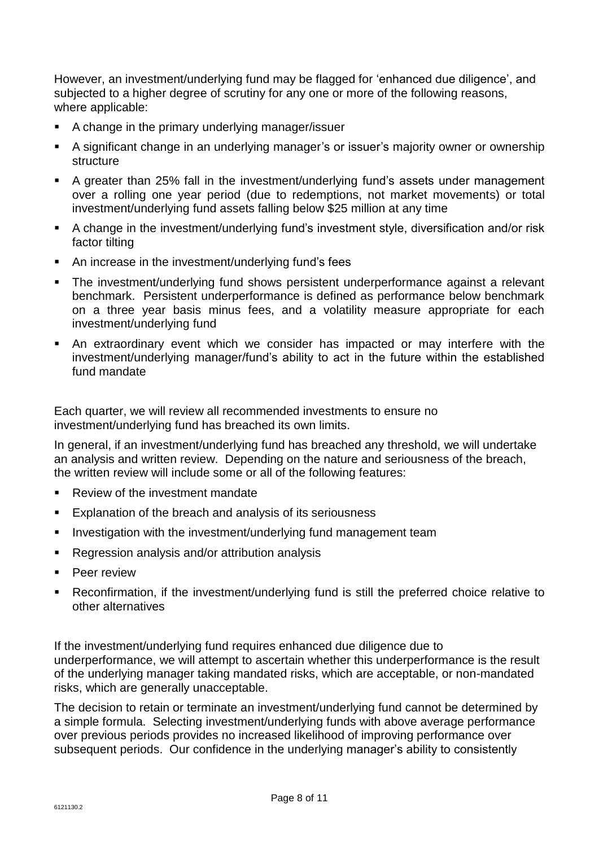However, an investment/underlying fund may be flagged for 'enhanced due diligence', and subjected to a higher degree of scrutiny for any one or more of the following reasons, where applicable:

- A change in the primary underlying manager/issuer
- A significant change in an underlying manager's or issuer's majority owner or ownership structure
- A greater than 25% fall in the investment/underlying fund's assets under management over a rolling one year period (due to redemptions, not market movements) or total investment/underlying fund assets falling below \$25 million at any time
- A change in the investment/underlying fund's investment style, diversification and/or risk factor tilting
- An increase in the investment/underlying fund's fees
- The investment/underlying fund shows persistent underperformance against a relevant benchmark. Persistent underperformance is defined as performance below benchmark on a three year basis minus fees, and a volatility measure appropriate for each investment/underlying fund
- An extraordinary event which we consider has impacted or may interfere with the investment/underlying manager/fund's ability to act in the future within the established fund mandate

Each quarter, we will review all recommended investments to ensure no investment/underlying fund has breached its own limits.

In general, if an investment/underlying fund has breached any threshold, we will undertake an analysis and written review. Depending on the nature and seriousness of the breach, the written review will include some or all of the following features:

- Review of the investment mandate
- Explanation of the breach and analysis of its seriousness
- **I.** Investigation with the investment/underlying fund management team
- Regression analysis and/or attribution analysis
- Peer review
- Reconfirmation, if the investment/underlying fund is still the preferred choice relative to other alternatives

If the investment/underlying fund requires enhanced due diligence due to underperformance, we will attempt to ascertain whether this underperformance is the result of the underlying manager taking mandated risks, which are acceptable, or non-mandated risks, which are generally unacceptable.

The decision to retain or terminate an investment/underlying fund cannot be determined by a simple formula. Selecting investment/underlying funds with above average performance over previous periods provides no increased likelihood of improving performance over subsequent periods. Our confidence in the underlying manager's ability to consistently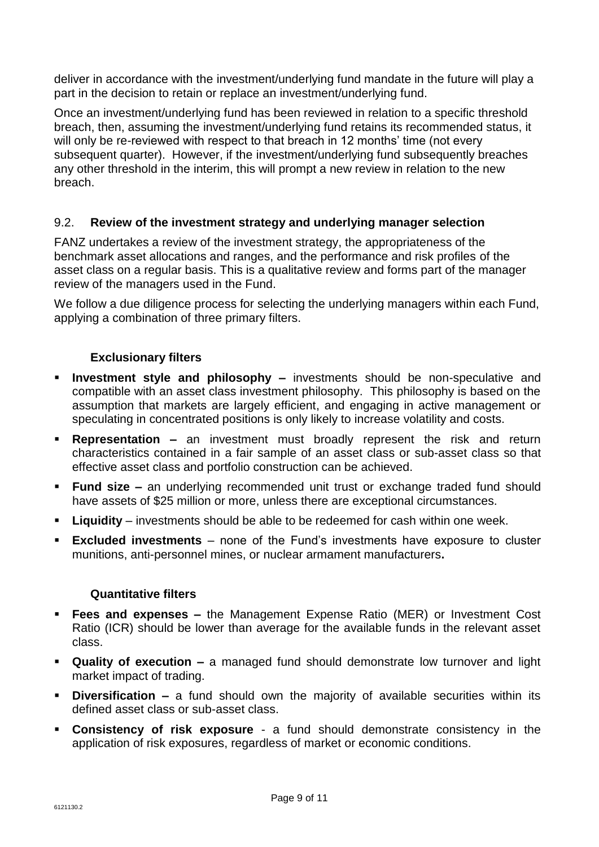deliver in accordance with the investment/underlying fund mandate in the future will play a part in the decision to retain or replace an investment/underlying fund.

Once an investment/underlying fund has been reviewed in relation to a specific threshold breach, then, assuming the investment/underlying fund retains its recommended status, it will only be re-reviewed with respect to that breach in 12 months' time (not every subsequent quarter). However, if the investment/underlying fund subsequently breaches any other threshold in the interim, this will prompt a new review in relation to the new breach.

## 9.2. **Review of the investment strategy and underlying manager selection**

FANZ undertakes a review of the investment strategy, the appropriateness of the benchmark asset allocations and ranges, and the performance and risk profiles of the asset class on a regular basis. This is a qualitative review and forms part of the manager review of the managers used in the Fund.

We follow a due diligence process for selecting the underlying managers within each Fund, applying a combination of three primary filters.

## **Exclusionary filters**

- **Investment style and philosophy –** investments should be non-speculative and compatible with an asset class investment philosophy. This philosophy is based on the assumption that markets are largely efficient, and engaging in active management or speculating in concentrated positions is only likely to increase volatility and costs.
- **Representation –** an investment must broadly represent the risk and return characteristics contained in a fair sample of an asset class or sub-asset class so that effective asset class and portfolio construction can be achieved.
- **Fund size –** an underlying recommended unit trust or exchange traded fund should have assets of \$25 million or more, unless there are exceptional circumstances.
- **Liquidity**  investments should be able to be redeemed for cash within one week.
- **Excluded investments**  none of the Fund's investments have exposure to cluster munitions, anti-personnel mines, or nuclear armament manufacturers**.**

## **Quantitative filters**

- **Fees and expenses –** the Management Expense Ratio (MER) or Investment Cost Ratio (ICR) should be lower than average for the available funds in the relevant asset class.
- **Quality of execution –** a managed fund should demonstrate low turnover and light market impact of trading.
- **Diversification –** a fund should own the majority of available securities within its defined asset class or sub-asset class.
- **Consistency of risk exposure** a fund should demonstrate consistency in the application of risk exposures, regardless of market or economic conditions.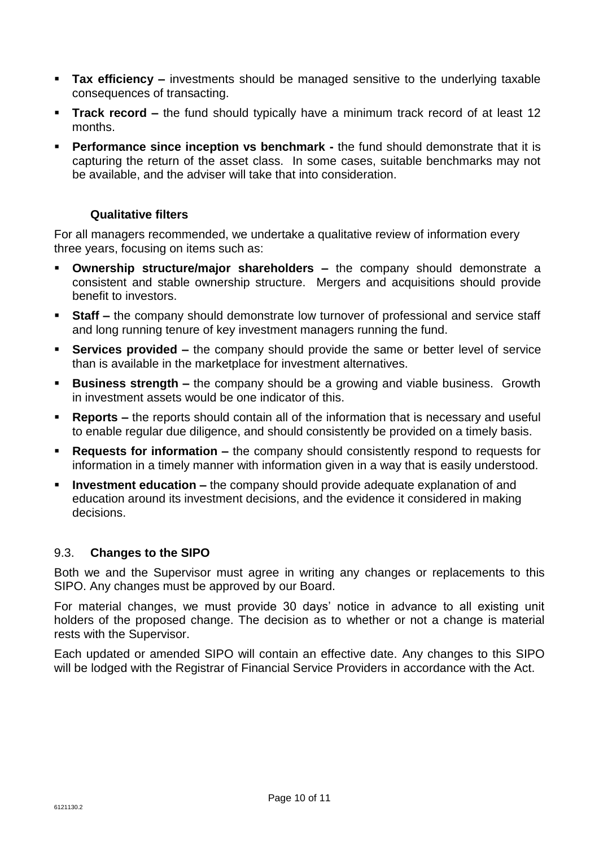- **Tax efficiency –** investments should be managed sensitive to the underlying taxable consequences of transacting.
- **Track record –** the fund should typically have a minimum track record of at least 12 months.
- **Performance since inception vs benchmark -** the fund should demonstrate that it is capturing the return of the asset class. In some cases, suitable benchmarks may not be available, and the adviser will take that into consideration.

## **Qualitative filters**

For all managers recommended, we undertake a qualitative review of information every three years, focusing on items such as:

- **Ownership structure/major shareholders –** the company should demonstrate a consistent and stable ownership structure. Mergers and acquisitions should provide benefit to investors.
- **Staff –** the company should demonstrate low turnover of professional and service staff and long running tenure of key investment managers running the fund.
- **Services provided** the company should provide the same or better level of service than is available in the marketplace for investment alternatives.
- **Business strength –** the company should be a growing and viable business. Growth in investment assets would be one indicator of this.
- **Reports –** the reports should contain all of the information that is necessary and useful to enable regular due diligence, and should consistently be provided on a timely basis.
- **Requests for information –** the company should consistently respond to requests for information in a timely manner with information given in a way that is easily understood.
- **Investment education –** the company should provide adequate explanation of and education around its investment decisions, and the evidence it considered in making decisions.

## 9.3. **Changes to the SIPO**

Both we and the Supervisor must agree in writing any changes or replacements to this SIPO. Any changes must be approved by our Board.

For material changes, we must provide 30 days' notice in advance to all existing unit holders of the proposed change. The decision as to whether or not a change is material rests with the Supervisor.

Each updated or amended SIPO will contain an effective date. Any changes to this SIPO will be lodged with the Registrar of Financial Service Providers in accordance with the Act.